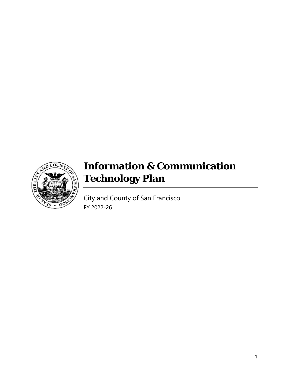

# **Information & Communication Technology Plan**

City and County of San Francisco FY 2022-26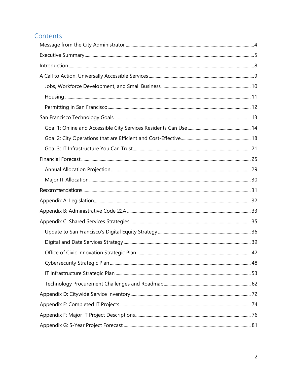# Contents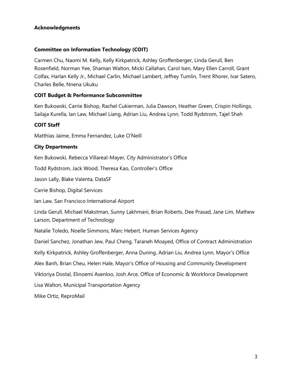# **Acknowledgments**

#### **Committee on Information Technology (COIT)**

Carmen Chu, Naomi M. Kelly, Kelly Kirkpatrick, Ashley Groffenberger, Linda Gerull, Ben Rosenfield, Norman Yee, Shaman Walton, Micki Callahan, Carol Isen, Mary Ellen Carroll, Grant Colfax, Harlan Kelly Jr., Michael Carlin, Michael Lambert, Jeffrey Tumlin, Trent Rhorer, Ivar Satero, Charles Belle, Nnena Ukuku

#### **COIT Budget & Performance Subcommittee**

Ken Bukowski, Carrie Bishop, Rachel Cukierman, Julia Dawson, Heather Green, Crispin Hollings, Sailaja Kurella, Ian Law, Michael Liang, Adrian Liu, Andrea Lynn, Todd Rydstrom, Tajel Shah

#### **COIT Staff**

Matthias Jaime, Emma Fernandez, Luke O'Neill

#### **City Departments**

Ken Bukowski, Rebecca Villareal-Mayer, City Administrator's Office

Todd Rydstrom, Jack Wood, Theresa Kao, Controller's Office

Jason Lally, Blake Valenta, DataSF

Carrie Bishop, Digital Services

Ian Law, San Francisco International Airport

Linda Gerull, Michael Makstman, Sunny Lakhmani, Brian Roberts, Dee Prasad, Jane Lim, Mathew Larson, Department of Technology

Natalie Toledo, Noelle Simmons, Marc Hebert, Human Services Agency

Daniel Sanchez, Jonathan Jew, Paul Cheng, Taraneh Moayed, Office of Contract Administration Kelly Kirkpatrick, Ashley Groffenberger, Anna Duning, Adrian Liu, Andrea Lynn, Mayor's Office Alex Banh, Brian Cheu, Helen Hale, Mayor's Office of Housing and Community Development Viktoriya Dostal, Elinoemi Asenloo, Josh Arce, Office of Economic & Workforce Development Lisa Walton, Municipal Transportation Agency Mike Ortiz, ReproMail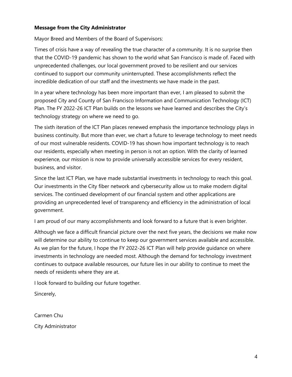#### <span id="page-3-0"></span>**Message from the City Administrator**

Mayor Breed and Members of the Board of Supervisors:

Times of crisis have a way of revealing the true character of a community. It is no surprise then that the COVID-19 pandemic has shown to the world what San Francisco is made of. Faced with unprecedented challenges, our local government proved to be resilient and our services continued to support our community uninterrupted. These accomplishments reflect the incredible dedication of our staff and the investments we have made in the past.

In a year where technology has been more important than ever, I am pleased to submit the proposed City and County of San Francisco Information and Communication Technology (ICT) Plan. The FY 2022-26 ICT Plan builds on the lessons we have learned and describes the City's technology strategy on where we need to go.

The sixth iteration of the ICT Plan places renewed emphasis the importance technology plays in business continuity. But more than ever, we chart a future to leverage technology to meet needs of our most vulnerable residents. COVID-19 has shown how important technology is to reach our residents, especially when meeting in person is not an option. With the clarity of learned experience, our mission is now to provide universally accessible services for every resident, business, and visitor.

Since the last ICT Plan, we have made substantial investments in technology to reach this goal. Our investments in the City fiber network and cybersecurity allow us to make modern digital services. The continued development of our financial system and other applications are providing an unprecedented level of transparency and efficiency in the administration of local government.

I am proud of our many accomplishments and look forward to a future that is even brighter.

Although we face a difficult financial picture over the next five years, the decisions we make now will determine our ability to continue to keep our government services available and accessible. As we plan for the future, I hope the FY 2022-26 ICT Plan will help provide guidance on where investments in technology are needed most. Although the demand for technology investment continues to outpace available resources, our future lies in our ability to continue to meet the needs of residents where they are at.

I look forward to building our future together.

Sincerely,

Carmen Chu City Administrator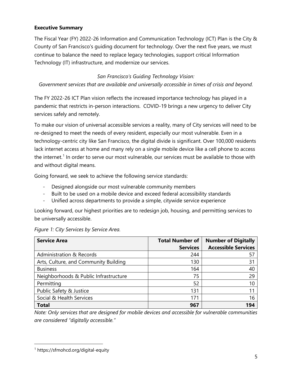# <span id="page-4-0"></span>**Executive Summary**

The Fiscal Year (FY) 2022-26 Information and Communication Technology (ICT) Plan is the City & County of San Francisco's guiding document for technology. Over the next five years, we must continue to balance the need to replace legacy technologies, support critical Information Technology (IT) infrastructure, and modernize our services.

#### *San Francisco's Guiding Technology Vision:*

*Government services that are available and universally accessible in times of crisis and beyond.*

The FY 2022-26 ICT Plan vision reflects the increased importance technology has played in a pandemic that restricts in-person interactions. COVID-19 brings a new urgency to deliver City services safely and remotely.

To make our vision of universal accessible services a reality, many of City services will need to be re-designed to meet the needs of every resident, especially our most vulnerable. Even in a technology-centric city like San Francisco, the digital divide is significant. Over 100,000 residents lack internet access at home and many rely on a single mobile device like a cell phone to access the internet.<sup>[1](#page-4-1)</sup> In order to serve our most vulnerable, our services must be available to those with and without digital means.

Going forward, we seek to achieve the following service standards:

- Designed alongside our most vulnerable community members
- Built to be used on a mobile device and exceed federal accessibility standards
- Unified across departments to provide a simple, citywide service experience

Looking forward, our highest priorities are to redesign job, housing, and permitting services to be universally accessible.

| <b>Service Area</b>                   | <b>Total Number of</b><br><b>Services</b> | <b>Number of Digitally</b><br><b>Accessible Services</b> |
|---------------------------------------|-------------------------------------------|----------------------------------------------------------|
| Administration & Records              | 244                                       | 57                                                       |
| Arts, Culture, and Community Building | 130                                       | 31                                                       |
| <b>Business</b>                       | 164                                       | 40                                                       |
| Neighborhoods & Public Infrastructure | 75                                        | 29                                                       |
| Permitting                            | 52                                        | 10                                                       |
| Public Safety & Justice               | 131                                       | 11                                                       |
| Social & Health Services              | 171                                       | 16                                                       |
| <b>Total</b>                          | 967                                       | 194                                                      |

*Figure 1: City Services by Service Area.* 

*Note: Only services that are designed for mobile devices and accessible for vulnerable communities are considered "digitally accessible."*

<span id="page-4-1"></span> <sup>1</sup> https://sfmohcd.org/digital-equity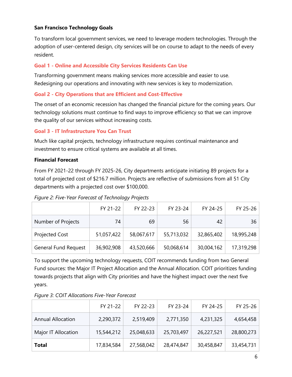# **San Francisco Technology Goals**

To transform local government services, we need to leverage modern technologies. Through the adoption of user-centered design, city services will be on course to adapt to the needs of every resident.

# **Goal 1 - Online and Accessible City Services Residents Can Use**

Transforming government means making services more accessible and easier to use. Redesigning our operations and innovating with new services is key to modernization.

# **Goal 2 - City Operations that are Efficient and Cost-Effective**

The onset of an economic recession has changed the financial picture for the coming years. Our technology solutions must continue to find ways to improve efficiency so that we can improve the quality of our services without increasing costs.

# **Goal 3 - IT Infrastructure You Can Trust**

Much like capital projects, technology infrastructure requires continual maintenance and investment to ensure critical systems are available at all times.

#### **Financial Forecast**

From FY 2021-22 through FY 2025-26, City departments anticipate initiating 89 projects for a total of projected cost of \$216.7 million. Projects are reflective of submissions from all 51 City departments with a projected cost over \$100,000.

|                             | FY 21-22   | FY 22-23   | FY 23-24   | FY 24-25   | FY 25-26   |
|-----------------------------|------------|------------|------------|------------|------------|
| Number of Projects          | 74         | 69         | 56         | 42         | 36         |
| Projected Cost              | 51,057,422 | 58,067,617 | 55,713,032 | 32,865,402 | 18,995,248 |
| <b>General Fund Request</b> | 36,902,908 | 43,520,666 | 50,068,614 | 30,004,162 | 17,319,298 |

*Figure 2: Five-Year Forecast of Technology Projects* 

To support the upcoming technology requests, COIT recommends funding from two General Fund sources: the Major IT Project Allocation and the Annual Allocation. COIT prioritizes funding towards projects that align with City priorities and have the highest impact over the next five years.

|                          | FY 21-22   | FY 22-23   | FY 23-24   | FY 24-25   | FY 25-26   |
|--------------------------|------------|------------|------------|------------|------------|
| <b>Annual Allocation</b> | 2,290,372  | 2,519,409  | 2,771,350  | 4,231,325  | 4,654,458  |
| Major IT Allocation      | 15,544,212 | 25,048,633 | 25,703,497 | 26,227,521 | 28,800,273 |
| <b>Total</b>             | 17,834,584 | 27,568,042 | 28,474,847 | 30,458,847 | 33,454,731 |

*Figure 3: COIT Allocations Five-Year Forecast*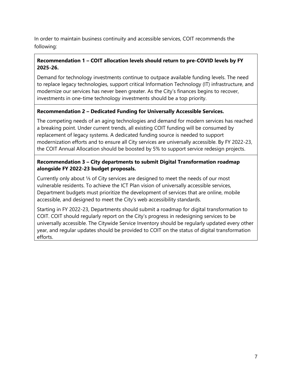In order to maintain business continuity and accessible services, COIT recommends the following:

# **Recommendation 1 – COIT allocation levels should return to pre-COVID levels by FY 2025-26.**

Demand for technology investments continue to outpace available funding levels. The need to replace legacy technologies, support critical Information Technology (IT) infrastructure, and modernize our services has never been greater. As the City's finances begins to recover, investments in one-time technology investments should be a top priority.

#### **Recommendation 2 – Dedicated Funding for Universally Accessible Services.**

The competing needs of an aging technologies and demand for modern services has reached a breaking point. Under current trends, all existing COIT funding will be consumed by replacement of legacy systems. A dedicated funding source is needed to support modernization efforts and to ensure all City services are universally accessible. By FY 2022-23, the COIT Annual Allocation should be boosted by 5% to support service redesign projects.

# **Recommendation 3 – City departments to submit Digital Transformation roadmap alongside FY 2022-23 budget proposals.**

Currently only about ⅕ of City services are designed to meet the needs of our most vulnerable residents. To achieve the ICT Plan vision of universally accessible services, Department budgets must prioritize the development of services that are online, mobile accessible, and designed to meet the City's web accessibility standards.

Starting in FY 2022-23, Departments should submit a roadmap for digital transformation to COIT. COIT should regularly report on the City's progress in redesigning services to be universally accessible. The Citywide Service Inventory should be regularly updated every other year, and regular updates should be provided to COIT on the status of digital transformation efforts.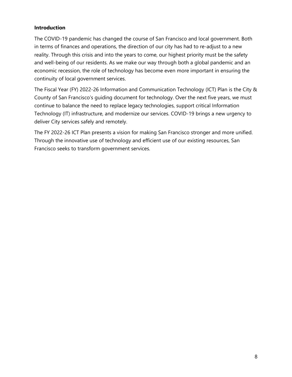#### <span id="page-7-0"></span>**Introduction**

The COVID-19 pandemic has changed the course of San Francisco and local government. Both in terms of finances and operations, the direction of our city has had to re-adjust to a new reality. Through this crisis and into the years to come, our highest priority must be the safety and well-being of our residents. As we make our way through both a global pandemic and an economic recession, the role of technology has become even more important in ensuring the continuity of local government services.

The Fiscal Year (FY) 2022-26 Information and Communication Technology (ICT) Plan is the City & County of San Francisco's guiding document for technology. Over the next five years, we must continue to balance the need to replace legacy technologies, support critical Information Technology (IT) infrastructure, and modernize our services. COVID-19 brings a new urgency to deliver City services safely and remotely.

The FY 2022-26 ICT Plan presents a vision for making San Francisco stronger and more unified. Through the innovative use of technology and efficient use of our existing resources, San Francisco seeks to transform government services.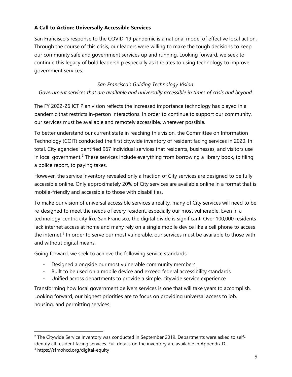# <span id="page-8-0"></span>**A Call to Action: Universally Accessible Services**

San Francisco's response to the COVID-19 pandemic is a national model of effective local action. Through the course of this crisis, our leaders were willing to make the tough decisions to keep our community safe and government services up and running. Looking forward, we seek to continue this legacy of bold leadership especially as it relates to using technology to improve government services.

#### *San Francisco's Guiding Technology Vision:*

*Government services that are available and universally accessible in times of crisis and beyond.*

The FY 2022-26 ICT Plan vision reflects the increased importance technology has played in a pandemic that restricts in-person interactions. In order to continue to support our community, our services must be available and remotely accessible, wherever possible.

To better understand our current state in reaching this vision, the Committee on Information Technology (COIT) conducted the first citywide inventory of resident facing services in 2020. In total, City agencies identified 967 individual services that residents, businesses, and visitors use in local government.<sup>[2](#page-8-1)</sup> These services include everything from borrowing a library book, to filing a police report, to paying taxes.

However, the service inventory revealed only a fraction of City services are designed to be fully accessible online. Only approximately 20% of City services are available online in a format that is mobile-friendly and accessible to those with disabilities.

To make our vision of universal accessible services a reality, many of City services will need to be re-designed to meet the needs of every resident, especially our most vulnerable. Even in a technology-centric city like San Francisco, the digital divide is significant. Over 100,000 residents lack internet access at home and many rely on a single mobile device like a cell phone to access the internet.<sup>[3](#page-8-2)</sup> In order to serve our most vulnerable, our services must be available to those with and without digital means.

Going forward, we seek to achieve the following service standards:

- Designed alongside our most vulnerable community members
- Built to be used on a mobile device and exceed federal accessibility standards
- Unified across departments to provide a simple, citywide service experience

Transforming how local government delivers services is one that will take years to accomplish. Looking forward, our highest priorities are to focus on providing universal access to job, housing, and permitting services.

<span id="page-8-1"></span><sup>&</sup>lt;sup>2</sup> The Citywide Service Inventory was conducted in September 2019. Departments were asked to selfidentify all resident facing services. Full details on the inventory are available in Appendix D.

<span id="page-8-2"></span><sup>3</sup> https://sfmohcd.org/digital-equity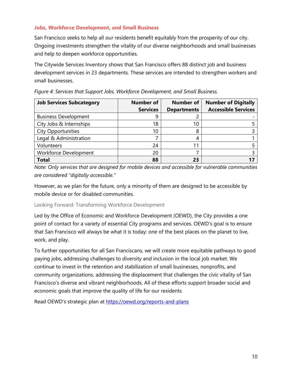# <span id="page-9-0"></span>**Jobs, Workforce Development, and Small Business**

San Francisco seeks to help all our residents benefit equitably from the prosperity of our city. Ongoing investments strengthen the vitality of our diverse neighborhoods and small businesses and help to deepen workforce opportunities.

The Citywide Services Inventory shows that San Francisco offers 88 distinct job and business development services in 23 departments. These services are intended to strengthen workers and small businesses.

| <b>Job Services Subcategory</b> | <b>Number of</b><br><b>Services</b> | <b>Number of</b><br><b>Departments</b> | <b>Number of Digitally</b><br><b>Accessible Services</b> |
|---------------------------------|-------------------------------------|----------------------------------------|----------------------------------------------------------|
| <b>Business Development</b>     | g                                   |                                        |                                                          |
| City Jobs & Internships         | 18                                  | 10                                     |                                                          |
| <b>City Opportunities</b>       | 10                                  | 8                                      |                                                          |
| Legal & Administration          |                                     | 4                                      |                                                          |
| Volunteers                      | 24                                  |                                        |                                                          |
| <b>Workforce Development</b>    | 20                                  |                                        |                                                          |
| <b>Total</b>                    | 88                                  | 23                                     |                                                          |

*Figure 4: Services that Support Jobs, Workforce Development, and Small Business.*

*Note: Only services that are designed for mobile devices and accessible for vulnerable communities are considered "digitally accessible."*

However, as we plan for the future, only a minority of them are designed to be accessible by mobile device or for disabled communities.

Looking Forward: Transforming Workforce Development

Led by the Office of Economic and Workforce Development (OEWD), the City provides a one point of contact for a variety of essential City programs and services. OEWD's goal is to ensure that San Francisco will always be what it is today: one of the best places on the planet to live, work, and play.

To further opportunities for all San Franciscans, we will create more equitable pathways to good paying jobs, addressing challenges to diversity and inclusion in the local job market. We continue to invest in the retention and stabilization of small businesses, nonprofits, and community organizations, addressing the displacement that challenges the civic vitality of San Francisco's diverse and vibrant neighborhoods. All of these efforts support broader social and economic goals that improve the quality of life for our residents

Read OEWD's strategic plan at<https://oewd.org/reports-and-plans>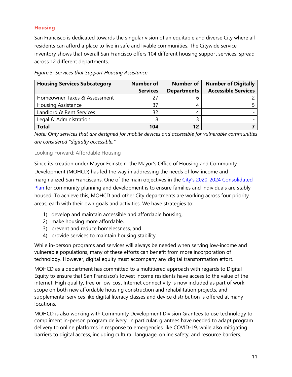# <span id="page-10-0"></span>**Housing**

San Francisco is dedicated towards the singular vision of an equitable and diverse City where all residents can afford a place to live in safe and livable communities. The Citywide service inventory shows that overall San Francisco offers 104 different housing support services, spread across 12 different departments.

| <b>Housing Services Subcategory</b> | <b>Number of</b> | <b>Number of</b>   | <b>Number of Digitally</b> |
|-------------------------------------|------------------|--------------------|----------------------------|
|                                     | <b>Services</b>  | <b>Departments</b> | <b>Accessible Services</b> |
| Homeowner Taxes & Assessment        |                  |                    |                            |
| <b>Housing Assistance</b>           | 37               |                    |                            |
| Landlord & Rent Services            | 32               |                    |                            |
| Legal & Administration              |                  |                    |                            |
| <b>Total</b>                        | 104              | 12                 |                            |

*Figure 5: Services that Support Housing Assistance*

*Note: Only services that are designed for mobile devices and accessible for vulnerable communities are considered "digitally accessible."*

#### Looking Forward: Affordable Housing

Since its creation under Mayor Feinstein, the Mayor's Office of Housing and Community Development (MOHCD) has led the way in addressing the needs of low-income and marginalized San Franciscans. One of the main objectives in the [City's 2020-2024 Consolidated](https://sfmohcd.org/sites/default/files/Documents/Reports/REVISED%20Full%20Amended%202020-2024%20Consolidated%20Plan%20and%202020-2021%20Action%20Plan%20Sept%202020%20-%20Reduced.pdf)  [Plan](https://sfmohcd.org/sites/default/files/Documents/Reports/REVISED%20Full%20Amended%202020-2024%20Consolidated%20Plan%20and%202020-2021%20Action%20Plan%20Sept%202020%20-%20Reduced.pdf) for community planning and development is to ensure families and individuals are stably housed. To achieve this, MOHCD and other City departments are working across four priority areas, each with their own goals and activities. We have strategies to:

- 1) develop and maintain accessible and affordable housing,
- 2) make housing more affordable,
- 3) prevent and reduce homelessness, and
- 4) provide services to maintain housing stability.

While in-person programs and services will always be needed when serving low-income and vulnerable populations, many of these efforts can benefit from more incorporation of technology. However, digital equity must accompany any digital transformation effort.

MOHCD as a department has committed to a multitiered approach with regards to Digital Equity to ensure that San Francisco's lowest income residents have access to the value of the internet. High quality, free or low-cost Internet connectivity is now included as part of work scope on both new affordable housing construction and rehabilitation projects, and supplemental services like digital literacy classes and device distribution is offered at many locations.

MOHCD is also working with Community Development Division Grantees to use technology to compliment in-person program delivery. In particular, grantees have needed to adapt program delivery to online platforms in response to emergencies like COVID-19, while also mitigating barriers to digital access, including cultural, language, online safety, and resource barriers.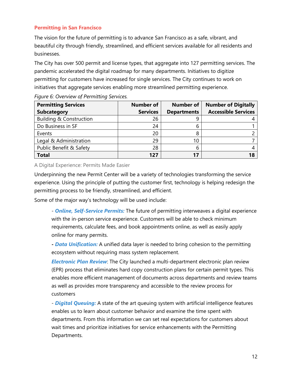#### <span id="page-11-0"></span>**Permitting in San Francisco**

The vision for the future of permitting is to advance San Francisco as a safe, vibrant, and beautiful city through friendly, streamlined, and efficient services available for all residents and businesses.

The City has over 500 permit and license types, that aggregate into 127 permitting services. The pandemic accelerated the digital roadmap for many departments. Initiatives to digitize permitting for customers have increased for single services. The City continues to work on initiatives that aggregate services enabling more streamlined permitting experience.

| <b>Permitting Services</b>         | <b>Number of</b> | <b>Number of</b>   | <b>Number of Digitally</b> |
|------------------------------------|------------------|--------------------|----------------------------|
| <b>Subcategory</b>                 | <b>Services</b>  | <b>Departments</b> | <b>Accessible Services</b> |
| <b>Building &amp; Construction</b> | 26               |                    |                            |
| Do Business in SF                  | 24               | b                  |                            |
| Events                             | 20               | 8                  |                            |
| Legal & Administration             | 29               | 10                 |                            |
| Public Benefit & Safety            | 28               | 6                  |                            |
| <b>Total</b>                       | 127              | 17                 |                            |

*Figure 6: Overview of Permitting Services.*

#### A Digital Experience: Permits Made Easier

Underpinning the new Permit Center will be a variety of technologies transforming the service experience. Using the principle of putting the customer first, technology is helping redesign the permitting process to be friendly, streamlined, and efficient.

Some of the major way's technology will be used include:

- *Online, Self-Service Permits:* The future of permitting interweaves a digital experience with the in-person service experience. Customers will be able to check minimum requirements, calculate fees, and book appointments online, as well as easily apply online for many permits.

*- Data Unification:* A unified data layer is needed to bring cohesion to the permitting ecosystem without requiring mass system replacement.

*Electronic Plan Review*: The City launched a multi-department electronic plan review (EPR) process that eliminates hard copy construction plans for certain permit types. This enables more efficient management of documents across departments and review teams as well as provides more transparency and accessible to the review process for customers

- *Digital Queuing:* A state of the art queuing system with artificial intelligence features enables us to learn about customer behavior and examine the time spent with departments. From this information we can set real expectations for customers about wait times and prioritize initiatives for service enhancements with the Permitting Departments.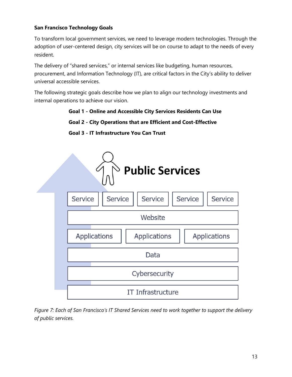# <span id="page-12-0"></span>**San Francisco Technology Goals**

To transform local government services, we need to leverage modern technologies. Through the adoption of user-centered design, city services will be on course to adapt to the needs of every resident.

The delivery of "shared services," or internal services like budgeting, human resources, procurement, and Information Technology (IT), are critical factors in the City's ability to deliver universal accessible services.

The following strategic goals describe how we plan to align our technology investments and internal operations to achieve our vision.

#### **Goal 1 - Online and Accessible City Services Residents Can Use**

- **Goal 2 - City Operations that are Efficient and Cost-Effective**
- **Goal 3 - IT Infrastructure You Can Trust**



*Figure 7: Each of San Francisco's IT Shared Services need to work together to support the delivery of public services.*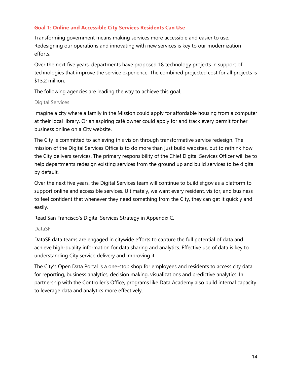# <span id="page-13-0"></span>**Goal 1: Online and Accessible City Services Residents Can Use**

Transforming government means making services more accessible and easier to use. Redesigning our operations and innovating with new services is key to our modernization efforts.

Over the next five years, departments have proposed 18 technology projects in support of technologies that improve the service experience. The combined projected cost for all projects is \$13.2 million.

The following agencies are leading the way to achieve this goal.

#### Digital Services

Imagine a city where a family in the Mission could apply for affordable housing from a computer at their local library. Or an aspiring café owner could apply for and track every permit for her business online on a City website.

The City is committed to achieving this vision through transformative service redesign. The mission of the Digital Services Office is to do more than just build websites, but to rethink how the City delivers services. The primary responsibility of the Chief Digital Services Officer will be to help departments redesign existing services from the ground up and build services to be digital by default.

Over the next five years, the Digital Services team will continue to build sf.gov as a platform to support online and accessible services. Ultimately, we want every resident, visitor, and business to feel confident that whenever they need something from the City, they can get it quickly and easily.

Read San Francisco's Digital Services Strategy in Appendix C.

#### DataSF

DataSF data teams are engaged in citywide efforts to capture the full potential of data and achieve high-quality information for data sharing and analytics. Effective use of data is key to understanding City service delivery and improving it.

The City's Open Data Portal is a one-stop shop for employees and residents to access city data for reporting, business analytics, decision making, visualizations and predictive analytics. In partnership with the Controller's Office, programs like Data Academy also build internal capacity to leverage data and analytics more effectively.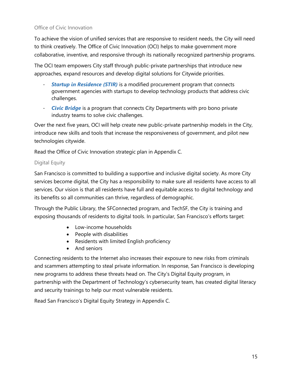#### Office of Civic Innovation

To achieve the vision of unified services that are responsive to resident needs, the City will need to think creatively. The Office of Civic Innovation (OCI) helps to make government more collaborative, inventive, and responsive through its nationally recognized partnership programs.

The OCI team empowers City staff through public-private partnerships that introduce new approaches, expand resources and develop digital solutions for Citywide priorities.

- *Startup in Residence (STIR)* is a modified procurement program that connects government agencies with startups to develop technology products that address civic challenges.
- *Civic Bridge* is a program that connects City Departments with pro bono private industry teams to solve civic challenges.

Over the next five years, OCI will help create new public-private partnership models in the City, introduce new skills and tools that increase the responsiveness of government, and pilot new technologies citywide.

Read the Office of Civic Innovation strategic plan in Appendix C.

#### Digital Equity

San Francisco is committed to building a supportive and inclusive digital society. As more City services become digital, the City has a responsibility to make sure all residents have access to all services. Our vision is that all residents have full and equitable access to digital technology and its benefits so all communities can thrive, regardless of demographic.

Through the Public Library, the SFConnected program, and TechSF, the City is training and exposing thousands of residents to digital tools. In particular, San Francisco's efforts target:

- Low-income households
- People with disabilities
- Residents with limited English proficiency
- And seniors

Connecting residents to the Internet also increases their exposure to new risks from criminals and scammers attempting to steal private information. In response, San Francisco is developing new programs to address these threats head on. The City's Digital Equity program, in partnership with the Department of Technology's cybersecurity team, has created digital literacy and security trainings to help our most vulnerable residents.

Read San Francisco's Digital Equity Strategy in Appendix C.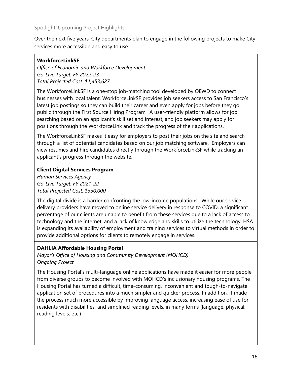Over the next five years, City departments plan to engage in the following projects to make City services more accessible and easy to use.

# **WorkforceLinkSF**

*Office of Economic and Workforce Development Go-Live Target: FY 2022-23 Total Projected Cost: \$1,453,627*

The WorkforceLinkSF is a one-stop job-matching tool developed by OEWD to connect businesses with local talent. WorkforceLinkSF provides job seekers access to San Francisco's latest job postings so they can build their career and even apply for jobs before they go public through the First Source Hiring Program. A user-friendly platform allows for job searching based on an applicant's skill set and interest, and job seekers may apply for positions through the WorkforceLink and track the progress of their applications.

The WorkforceLinkSF makes it easy for employers to post their jobs on the site and search through a list of potential candidates based on our job matching software. Employers can view resumes and hire candidates directly through the WorkforceLinkSF while tracking an applicant's progress through the website.

# **Client Digital Services Program**

*Human Services Agency Go-Live Target: FY 2021-22 Total Projected Cost: \$330,000*

The digital divide is a barrier confronting the low-income populations. While our service delivery providers have moved to online service delivery in response to COVID, a significant percentage of our clients are unable to benefit from these services due to a lack of access to technology and the internet, and a lack of knowledge and skills to utilize the technology. HSA is expanding its availability of employment and training services to virtual methods in order to provide additional options for clients to remotely engage in services.

#### **DAHLIA Affordable Housing Portal**

*Mayor's Office of Housing and Community Development (MOHCD) Ongoing Project*

The Housing Portal's multi-language online applications have made it easier for more people from diverse groups to become involved with MOHCD's inclusionary housing programs. The Housing Portal has turned a difficult, time-consuming, inconvenient and tough-to-navigate application set of procedures into a much simpler and quicker process. In addition, it made the process much more accessible by improving language access, increasing ease of use for residents with disabilities, and simplified reading levels. in many forms (language, physical, reading levels, etc.)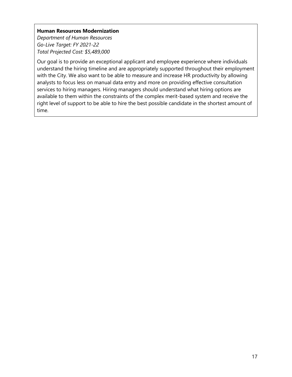#### **Human Resources Modernization**

*Department of Human Resources Go-Live Target: FY 2021-22 Total Projected Cost: \$5,489,000*

Our goal is to provide an exceptional applicant and employee experience where individuals understand the hiring timeline and are appropriately supported throughout their employment with the City. We also want to be able to measure and increase HR productivity by allowing analysts to focus less on manual data entry and more on providing effective consultation services to hiring managers. Hiring managers should understand what hiring options are available to them within the constraints of the complex merit-based system and receive the right level of support to be able to hire the best possible candidate in the shortest amount of time.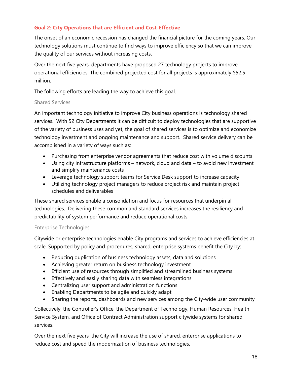# <span id="page-17-0"></span>**Goal 2: City Operations that are Efficient and Cost-Effective**

The onset of an economic recession has changed the financial picture for the coming years. Our technology solutions must continue to find ways to improve efficiency so that we can improve the quality of our services without increasing costs.

Over the next five years, departments have proposed 27 technology projects to improve operational efficiencies. The combined projected cost for all projects is approximately \$52.5 million.

The following efforts are leading the way to achieve this goal.

#### Shared Services

An important technology initiative to improve City business operations is technology shared services. With 52 City Departments it can be difficult to deploy technologies that are supportive of the variety of business uses and yet, the goal of shared services is to optimize and economize technology investment and ongoing maintenance and support. Shared service delivery can be accomplished in a variety of ways such as:

- Purchasing from enterprise vendor agreements that reduce cost with volume discounts
- Using city infrastructure platforms network, cloud and data to avoid new investment and simplify maintenance costs
- Leverage technology support teams for Service Desk support to increase capacity
- Utilizing technology project managers to reduce project risk and maintain project schedules and deliverables

These shared services enable a consolidation and focus for resources that underpin all technologies. Delivering these common and standard services increases the resiliency and predictability of system performance and reduce operational costs.

#### Enterprise Technologies

Citywide or enterprise technologies enable City programs and services to achieve efficiencies at scale. Supported by policy and procedures, shared, enterprise systems benefit the City by:

- Reducing duplication of business technology assets, data and solutions
- Achieving greater return on business technology investment
- Efficient use of resources through simplified and streamlined business systems
- Effectively and easily sharing data with seamless integrations
- Centralizing user support and administration functions
- Enabling Departments to be agile and quickly adapt
- Sharing the reports, dashboards and new services among the City-wide user community

Collectively, the Controller's Office, the Department of Technology, Human Resources, Health Service System, and Office of Contract Administration support citywide systems for shared services.

Over the next five years, the City will increase the use of shared, enterprise applications to reduce cost and speed the modernization of business technologies.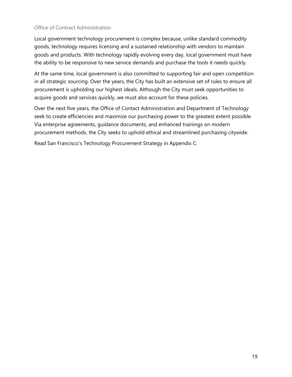#### Office of Contract Administration

Local government technology procurement is complex because, unlike standard commodity goods, technology requires licensing and a sustained relationship with vendors to maintain goods and products. With technology rapidly evolving every day, local government must have the ability to be responsive to new service demands and purchase the tools it needs quickly.

At the same time, local government is also committed to supporting fair and open competition in all strategic sourcing. Over the years, the City has built an extensive set of rules to ensure all procurement is upholding our highest ideals. Although the City must seek opportunities to acquire goods and services quickly, we must also account for these policies.

Over the next five years, the Office of Contact Administration and Department of Technology seek to create efficiencies and maximize our purchasing power to the greatest extent possible. Via enterprise agreements, guidance documents, and enhanced trainings on modern procurement methods, the City seeks to uphold ethical and streamlined purchasing citywide.

Read San Francisco's Technology Procurement Strategy in Appendix C.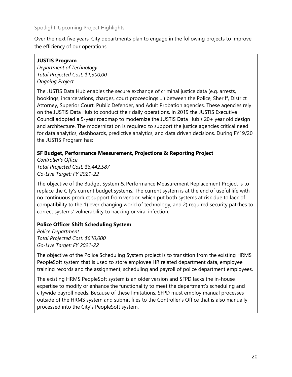Over the next five years, City departments plan to engage in the following projects to improve the efficiency of our operations.

# **JUSTIS Program**

*Department of Technology Total Projected Cost: \$1,300,00 Ongoing Project*

The JUSTIS Data Hub enables the secure exchange of criminal justice data (e.g. arrests, bookings, incarcerations, charges, court proceedings …) between the Police, Sheriff, District Attorney, Superior Court, Public Defender, and Adult Probation agencies. These agencies rely on the JUSTIS Data Hub to conduct their daily operations. In 2019 the JUSTIS Executive Council adopted a 5-year roadmap to modernize the JUSTIS Data Hub's 20+ year old design and architecture. The modernization is required to support the justice agencies critical need for data analytics, dashboards, predictive analytics, and data driven decisions. During FY19/20 the JUSTIS Program has:

# **SF Budget, Performance Measurement, Projections & Reporting Project**

*Controller's Office Total Projected Cost: \$6,442,587 Go-Live Target: FY 2021-22*

The objective of the Budget System & Performance Measurement Replacement Project is to replace the City's current budget systems. The current system is at the end of useful life with no continuous product support from vendor, which put both systems at risk due to lack of compatibility to the 1) ever changing world of technology, and 2) required security patches to correct systems' vulnerability to hacking or viral infection.

# **Police Officer Shift Scheduling System**

*Police Department Total Projected Cost: \$610,000 Go-Live Target: FY 2021-22*

The objective of the Police Scheduling System project is to transition from the existing HRMS PeopleSoft system that is used to store employee HR related department data, employee training records and the assignment, scheduling and payroll of police department employees.

The existing HRMS PeopleSoft system is an older version and SFPD lacks the in-house expertise to modify or enhance the functionality to meet the department's scheduling and citywide payroll needs. Because of these limitations, SFPD must employ manual processes outside of the HRMS system and submit files to the Controller's Office that is also manually processed into the City's PeopleSoft system.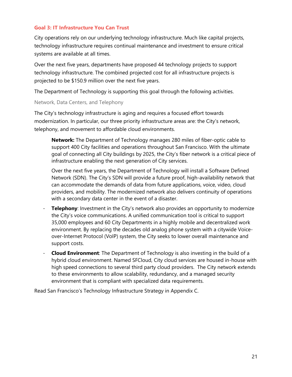#### <span id="page-20-0"></span>**Goal 3: IT Infrastructure You Can Trust**

City operations rely on our underlying technology infrastructure. Much like capital projects, technology infrastructure requires continual maintenance and investment to ensure critical systems are available at all times.

Over the next five years, departments have proposed 44 technology projects to support technology infrastructure. The combined projected cost for all infrastructure projects is projected to be \$150.9 million over the next five years.

The Department of Technology is supporting this goal through the following activities.

#### Network, Data Centers, and Telephony

The City's technology infrastructure is aging and requires a focused effort towards modernization. In particular, our three priority infrastructure areas are: the City's network, telephony, and movement to affordable cloud environments.

**Network:** The Department of Technology manages 280 miles of fiber-optic cable to support 400 City facilities and operations throughout San Francisco. With the ultimate goal of connecting all City buildings by 2025, the City's fiber network is a critical piece of infrastructure enabling the next generation of City services.

Over the next five years, the Department of Technology will install a Software Defined Network (SDN). The City's SDN will provide a future proof, high-availability network that can accommodate the demands of data from future applications, voice, video, cloud providers, and mobility. The modernized network also delivers continuity of operations with a secondary data center in the event of a disaster.

- **Telephony**: Investment in the City's network also provides an opportunity to modernize the City's voice communications. A unified communication tool is critical to support 35,000 employees and 60 City Departments in a highly mobile and decentralized work environment. By replacing the decades old analog phone system with a citywide Voiceover-Internet Protocol (VoIP) system, the City seeks to lower overall maintenance and support costs.
- **Cloud Environment**: The Department of Technology is also investing in the build of a hybrid cloud environment. Named SFCloud, City cloud services are housed in-house with high speed connections to several third party cloud providers. The City network extends to these environments to allow scalability, redundancy, and a managed security environment that is compliant with specialized data requirements.

Read San Francisco's Technology Infrastructure Strategy in Appendix C.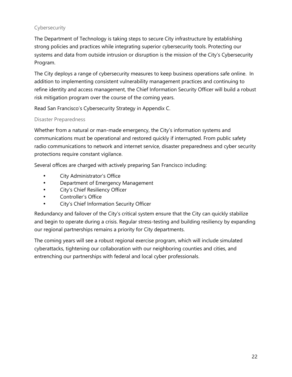# Cybersecurity

The Department of Technology is taking steps to secure City infrastructure by establishing strong policies and practices while integrating superior cybersecurity tools. Protecting our systems and data from outside intrusion or disruption is the mission of the City's Cybersecurity Program.

The City deploys a range of cybersecurity measures to keep business operations safe online. In addition to implementing consistent vulnerability management practices and continuing to refine identity and access management, the Chief Information Security Officer will build a robust risk mitigation program over the course of the coming years.

Read San Francisco's Cybersecurity Strategy in Appendix C.

# Disaster Preparedness

Whether from a natural or man-made emergency, the City's information systems and communications must be operational and restored quickly if interrupted. From public safety radio communications to network and internet service, disaster preparedness and cyber security protections require constant vigilance.

Several offices are charged with actively preparing San Francisco including:

- City Administrator's Office
- Department of Emergency Management
- City's Chief Resiliency Officer
- Controller's Office
- City's Chief Information Security Officer

Redundancy and failover of the City's critical system ensure that the City can quickly stabilize and begin to operate during a crisis. Regular stress-testing and building resiliency by expanding our regional partnerships remains a priority for City departments.

The coming years will see a robust regional exercise program, which will include simulated cyberattacks, tightening our collaboration with our neighboring counties and cities, and entrenching our partnerships with federal and local cyber professionals.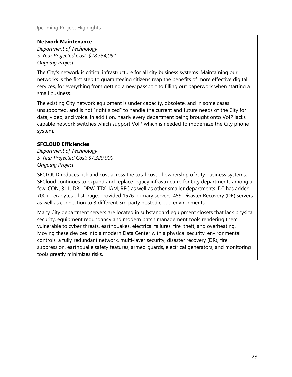#### **Network Maintenance**

*Department of Technology 5-Year Projected Cost: \$18,554,091 Ongoing Project*

The City's network is critical infrastructure for all city business systems. Maintaining our networks is the first step to guaranteeing citizens reap the benefits of more effective digital services, for everything from getting a new passport to filling out paperwork when starting a small business.

The existing City network equipment is under capacity, obsolete, and in some cases unsupported, and is not "right sized" to handle the current and future needs of the City for data, video, and voice. In addition, nearly every department being brought onto VoIP lacks capable network switches which support VoIP which is needed to modernize the City phone system.

# **SFCLOUD Efficiencies**

*Department of Technology 5-Year Projected Cost:* \$*7,320,000 Ongoing Project*

SFCLOUD reduces risk and cost across the total cost of ownership of City business systems. SFCloud continues to expand and replace legacy infrastructure for City departments among a few: CON, 311, DBI, DPW, TTX, IAM, REC as well as other smaller departments. DT has added 700+ Terabytes of storage, provided 1576 primary servers, 459 Disaster Recovery (DR) servers as well as connection to 3 different 3rd party hosted cloud environments.

Many City department servers are located in substandard equipment closets that lack physical security, equipment redundancy and modern patch management tools rendering them vulnerable to cyber threats, earthquakes, electrical failures, fire, theft, and overheating. Moving these devices into a modern Data Center with a physical security, environmental controls, a fully redundant network, multi-layer security, disaster recovery (DR), fire suppression, earthquake safety features, armed guards, electrical generators, and monitoring tools greatly minimizes risks.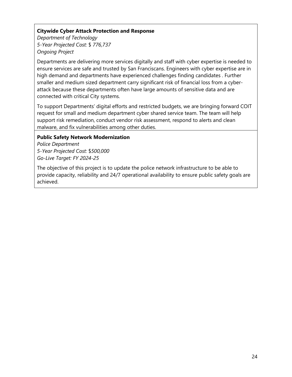#### **Citywide Cyber Attack Protection and Response**

*Department of Technology 5-Year Projected Cost:* \$ *776,737 Ongoing Project*

Departments are delivering more services digitally and staff with cyber expertise is needed to ensure services are safe and trusted by San Franciscans. Engineers with cyber expertise are in high demand and departments have experienced challenges finding candidates . Further smaller and medium sized department carry significant risk of financial loss from a cyberattack because these departments often have large amounts of sensitive data and are connected with critical City systems.

To support Departments' digital efforts and restricted budgets, we are bringing forward COIT request for small and medium department cyber shared service team. The team will help support risk remediation, conduct vendor risk assessment, respond to alerts and clean malware, and fix vulnerabilities among other duties.

#### **Public Safety Network Modernization**

*Police Department 5-Year Projected Cost:* \$*500,000 Go-Live Target: FY 2024-25*

The objective of this project is to update the police network infrastructure to be able to provide capacity, reliability and 24/7 operational availability to ensure public safety goals are achieved.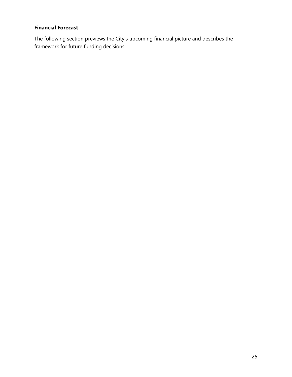# <span id="page-24-0"></span>**Financial Forecast**

The following section previews the City's upcoming financial picture and describes the framework for future funding decisions.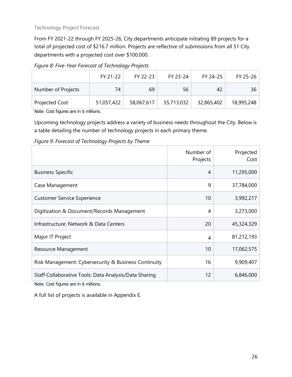From FY 2021-22 through FY 2025-26, City departments anticipate initiating 89 projects for a total of projected cost of \$216.7 million. Projects are reflective of submissions from all 51 City departments with a projected cost over \$100,000.

|                       | FY 21-22   | FY 22-23   | FY 23-24   | FY 24-25   | FY 25-26   |
|-----------------------|------------|------------|------------|------------|------------|
| Number of Projects    | 74         | 69         | 56         | 42         | 36         |
| <b>Projected Cost</b> | 51,057,422 | 58,067,617 | 55,713,032 | 32,865,402 | 18,995,248 |

*Figure 8: Five-Year Forecast of Technology Projects* 

Note: Cost figures are in \$ millions.

Upcoming technology projects address a variety of business needs throughout the City. Below is a table detailing the number of technology projects in each primary theme.

*Figure 9: Forecast of Technology Projects by Theme*

|                                                       | Number of<br>Projects | Projected<br>Cost |
|-------------------------------------------------------|-----------------------|-------------------|
| <b>Business Specific</b>                              | 4                     | 11,295,000        |
| Case Management                                       | 9                     | 37,784,000        |
| <b>Customer Service Experience</b>                    | 10                    | 3,992,217         |
| Digitization & Document/Records Management            | 4                     | 3,273,000         |
| Infrastructure: Network & Data Centers                | 20                    | 45,324,329        |
| Major IT Project                                      | 4                     | 81,212,193        |
| Resource Management                                   | 10                    | 17,062,575        |
| Risk Management: Cybersecurity & Business Continuity  | 16                    | 9,909,407         |
| Staff Collaborative Tools: Data Analysis/Data Sharing | 12                    | 6,846,000         |

Note: Cost figures are in \$ millions.

A full list of projects is available in Appendix E.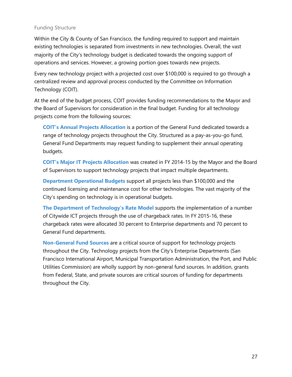#### Funding Structure

Within the City & County of San Francisco, the funding required to support and maintain existing technologies is separated from investments in new technologies. Overall, the vast majority of the City's technology budget is dedicated towards the ongoing support of operations and services. However, a growing portion goes towards new projects.

Every new technology project with a projected cost over \$100,000 is required to go through a centralized review and approval process conducted by the Committee on Information Technology (COIT).

At the end of the budget process, COIT provides funding recommendations to the Mayor and the Board of Supervisors for consideration in the final budget. Funding for all technology projects come from the following sources:

**COIT's Annual Projects Allocation** is a portion of the General Fund dedicated towards a range of technology projects throughout the City. Structured as a pay-as-you-go fund, General Fund Departments may request funding to supplement their annual operating budgets.

**COIT's Major IT Projects Allocation** was created in FY 2014-15 by the Mayor and the Board of Supervisors to support technology projects that impact multiple departments.

**Department Operational Budgets** support all projects less than \$100,000 and the continued licensing and maintenance cost for other technologies. The vast majority of the City's spending on technology is in operational budgets.

**The Department of Technology's Rate Model** supports the implementation of a number of Citywide ICT projects through the use of chargeback rates. In FY 2015-16, these chargeback rates were allocated 30 percent to Enterprise departments and 70 percent to General Fund departments.

**Non-General Fund Sources** are a critical source of support for technology projects throughout the City. Technology projects from the City's Enterprise Departments (San Francisco International Airport, Municipal Transportation Administration, the Port, and Public Utilities Commission) are wholly support by non-general fund sources. In addition, grants from Federal, State, and private sources are critical sources of funding for departments throughout the City.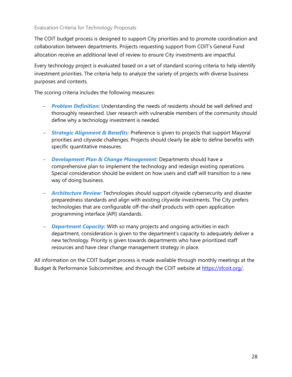#### Evaluation Criteria for Technology Proposals

The COIT budget process is designed to support City priorities and to promote coordination and collaboration between departments. Projects requesting support from COIT's General Fund allocation receive an additional level of review to ensure City investments are impactful.

Every technology project is evaluated based on a set of standard scoring criteria to help identify investment priorities. The criteria help to analyze the variety of projects with diverse business purposes and contexts.

The scoring criteria includes the following measures:

- − *Problem Definition:* Understanding the needs of residents should be well defined and thoroughly researched. User research with vulnerable members of the community should define why a technology investment is needed.
- − *Strategic Alignment & Benefits:* Preference is given to projects that support Mayoral priorities and citywide challenges. Projects should clearly be able to define benefits with specific quantitative measures.
- − *Development Plan & Change Management:* Departments should have a comprehensive plan to implement the technology and redesign existing operations. Special consideration should be evident on how users and staff will transition to a new way of doing business.
- − *Architecture Review:* Technologies should support citywide cybersecurity and disaster preparedness standards and align with existing citywide investments. The City prefers technologies that are configurable off-the-shelf products with open application programming interface (API) standards.
- − *Department Capacity:* With so many projects and ongoing activities in each department, consideration is given to the department's capacity to adequately deliver a new technology. Priority is given towards departments who have prioritized staff resources and have clear change management strategy in place.

All information on the COIT budget process is made available through monthly meetings at the Budget & Performance Subcommittee, and through the COIT website at [https://sfcoit.org/.](https://sfcoit.org/)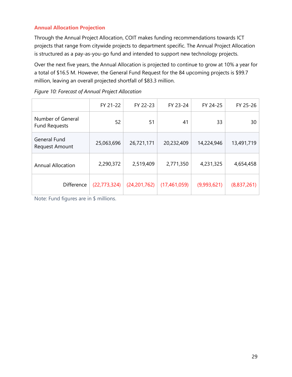# <span id="page-28-0"></span>**Annual Allocation Projection**

Through the Annual Project Allocation, COIT makes funding recommendations towards ICT projects that range from citywide projects to department specific. The Annual Project Allocation is structured as a pay-as-you-go fund and intended to support new technology projects.

Over the next five years, the Annual Allocation is projected to continue to grow at 10% a year for a total of \$16.5 M. However, the General Fund Request for the 84 upcoming projects is \$99.7 million, leaving an overall projected shortfall of \$83.3 million.

|                                           | FY 21-22       | FY 22-23       | FY 23-24     | FY 24-25    | FY 25-26    |
|-------------------------------------------|----------------|----------------|--------------|-------------|-------------|
| Number of General<br><b>Fund Requests</b> | 52             | 51             | 41           | 33          | 30          |
| General Fund<br><b>Request Amount</b>     | 25,063,696     | 26,721,171     | 20,232,409   | 14,224,946  | 13,491,719  |
| <b>Annual Allocation</b>                  | 2,290,372      | 2,519,409      | 2,771,350    | 4,231,325   | 4,654,458   |
| Difference                                | (22, 773, 324) | (24, 201, 762) | (17,461,059) | (9,993,621) | (8,837,261) |

*Figure 10: Forecast of Annual Project Allocation*

Note: Fund figures are in \$ millions.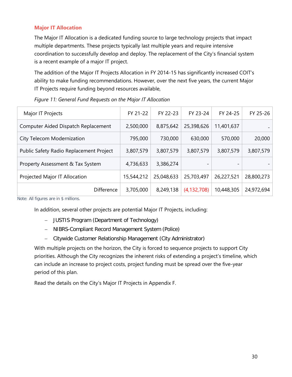# <span id="page-29-0"></span>**Major IT Allocation**

The Major IT Allocation is a dedicated funding source to large technology projects that impact multiple departments. These projects typically last multiple years and require intensive coordination to successfully develop and deploy. The replacement of the City's financial system is a recent example of a major IT project.

The addition of the Major IT Projects Allocation in FY 2014-15 has significantly increased COIT's ability to make funding recommendations. However, over the next five years, the current Major IT Projects require funding beyond resources available,

| Major IT Projects                       | FY 21-22   | FY 22-23   | FY 23-24      | FY 24-25   | FY 25-26   |
|-----------------------------------------|------------|------------|---------------|------------|------------|
| Computer Aided Dispatch Replacement     | 2,500,000  | 8,875,642  | 25,398,626    | 11,401,637 |            |
| City Telecom Modernization              | 795,000    | 730,000    | 630,000       | 570,000    | 20,000     |
| Public Safety Radio Replacement Project | 3,807,579  | 3,807,579  | 3,807,579     | 3,807,579  | 3,807,579  |
| Property Assessment & Tax System        | 4,736,633  | 3,386,274  | -             | -          |            |
| Projected Major IT Allocation           | 15,544,212 | 25,048,633 | 25,703,497    | 26,227,521 | 28,800,273 |
| <b>Difference</b>                       | 3,705,000  | 8,249,138  | (4, 132, 708) | 10,448,305 | 24,972,694 |

*Figure 11: General Fund Requests on the Major IT Allocation* 

Note: All figures are in \$ millions.

In addition, several other projects are potential Major IT Projects, including:

- − JUSTIS Program (Department of Technology)
- − NIBRS-Compliant Record Management System (Police)
- − Citywide Customer Relationship Management (City Administrator)

With multiple projects on the horizon, the City is forced to sequence projects to support City priorities. Although the City recognizes the inherent risks of extending a project's timeline, which can include an increase to project costs, project funding must be spread over the five-year period of this plan.

Read the details on the City's Major IT Projects in Appendix F.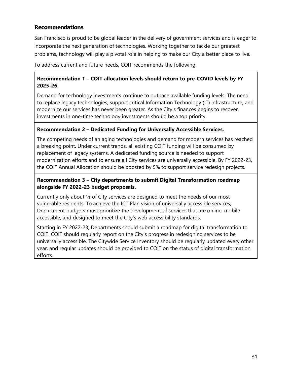# <span id="page-30-0"></span>**Recommendations**

San Francisco is proud to be global leader in the delivery of government services and is eager to incorporate the next generation of technologies. Working together to tackle our greatest problems, technology will play a pivotal role in helping to make our City a better place to live.

To address current and future needs, COIT recommends the following:

# **Recommendation 1 – COIT allocation levels should return to pre-COVID levels by FY 2025-26.**

Demand for technology investments continue to outpace available funding levels. The need to replace legacy technologies, support critical Information Technology (IT) infrastructure, and modernize our services has never been greater. As the City's finances begins to recover, investments in one-time technology investments should be a top priority.

# **Recommendation 2 – Dedicated Funding for Universally Accessible Services.**

The competing needs of an aging technologies and demand for modern services has reached a breaking point. Under current trends, all existing COIT funding will be consumed by replacement of legacy systems. A dedicated funding source is needed to support modernization efforts and to ensure all City services are universally accessible. By FY 2022-23, the COIT Annual Allocation should be boosted by 5% to support service redesign projects.

# **Recommendation 3 – City departments to submit Digital Transformation roadmap alongside FY 2022-23 budget proposals.**

Currently only about ⅕ of City services are designed to meet the needs of our most vulnerable residents. To achieve the ICT Plan vision of universally accessible services, Department budgets must prioritize the development of services that are online, mobile accessible, and designed to meet the City's web accessibility standards.

Starting in FY 2022-23, Departments should submit a roadmap for digital transformation to COIT. COIT should regularly report on the City's progress in redesigning services to be universally accessible. The Citywide Service Inventory should be regularly updated every other year, and regular updates should be provided to COIT on the status of digital transformation efforts.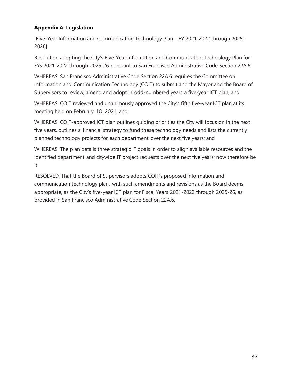# <span id="page-31-0"></span>**Appendix A: Legislation**

[Five-Year Information and Communication Technology Plan – FY 2021-2022 through 2025- 2026]

Resolution adopting the City's Five-Year Information and Communication Technology Plan for FYs 2021-2022 through 2025-26 pursuant to San Francisco Administrative Code Section 22A.6.

WHEREAS, San Francisco Administrative Code Section 22A.6 requires the Committee on Information and Communication Technology (COIT) to submit and the Mayor and the Board of Supervisors to review, amend and adopt in odd-numbered years a five-year ICT plan; and

WHEREAS, COIT reviewed and unanimously approved the City's fifth five-year ICT plan at its meeting held on February 18, 2021; and

WHEREAS, COIT-approved ICT plan outlines guiding priorities the City will focus on in the next five years, outlines a financial strategy to fund these technology needs and lists the currently planned technology projects for each department over the next five years; and

WHEREAS, The plan details three strategic IT goals in order to align available resources and the identified department and citywide IT project requests over the next five years; now therefore be it

RESOLVED, That the Board of Supervisors adopts COIT's proposed information and communication technology plan, with such amendments and revisions as the Board deems appropriate, as the City's five-year ICT plan for Fiscal Years 2021-2022 through 2025-26, as provided in San Francisco Administrative Code Section 22A.6.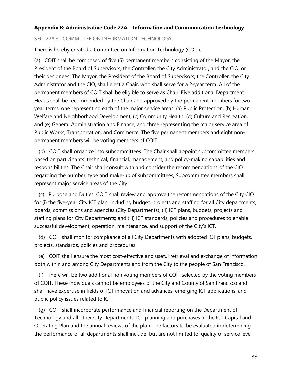#### <span id="page-32-0"></span>**Appendix B: Administrative Code 22A – Information and Communication Technology**

#### SEC. 22A.3. COMMITTEE ON INFORMATION TECHNOLOGY.

There is hereby created a Committee on Information Technology (COIT).

(a) COIT shall be composed of five (5) permanent members consisting of the Mayor, the President of the Board of Supervisors, the Controller, the City Administrator, and the CIO, or their designees. The Mayor, the President of the Board of Supervisors, the Controller, the City Administrator and the CIO, shall elect a Chair, who shall serve for a 2-year term. All of the permanent members of COIT shall be eligible to serve as Chair. Five additional Department Heads shall be recommended by the Chair and approved by the permanent members for two year terms, one representing each of the major service areas: (a) Public Protection, (b) Human Welfare and Neighborhood Development, (c) Community Health, (d) Culture and Recreation, and (e) General Administration and Finance; and three representing the major service area of Public Works, Transportation, and Commerce. The five permanent members and eight nonpermanent members will be voting members of COIT.

 (b) COIT shall organize into subcommittees. The Chair shall appoint subcommittee members based on participants' technical, financial, management, and policy-making capabilities and responsibilities. The Chair shall consult with and consider the recommendations of the CIO regarding the number, type and make-up of subcommittees, Subcommittee members shall represent major service areas of the City.

 (c) Purpose and Duties. COIT shall review and approve the recommendations of the City CIO for (i) the five-year City ICT plan, including budget, projects and staffing for all City departments, boards, commissions and agencies (City Departments), (ii) ICT plans, budgets, projects and staffing plans for City Departments; and (iii) ICT standards, policies and procedures to enable successful development, operation, maintenance, and support of the City's ICT.

 (d) COIT shall monitor compliance of all City Departments with adopted ICT plans, budgets, projects, standards, policies and procedures.

 (e) COIT shall ensure the most cost-effective and useful retrieval and exchange of information both within and among City Departments and from the City to the people of San Francisco.

 (f) There will be two additional non voting members of COIT selected by the voting members of COIT. These individuals cannot be employees of the City and County of San Francisco and shall have expertise in fields of ICT innovation and advances, emerging ICT applications, and public policy issues related to ICT.

 (g) COIT shall incorporate performance and financial reporting on the Department of Technology and all other City Departments' ICT planning and purchases in the ICT Capital and Operating Plan and the annual reviews of the plan. The factors to be evaluated in determining the performance of all departments shall include, but are not limited to: quality of service level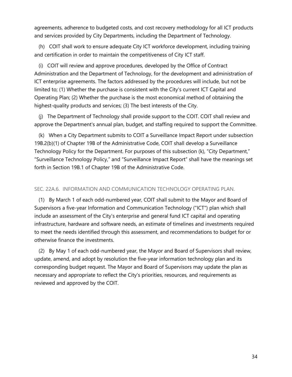agreements, adherence to budgeted costs, and cost recovery methodology for all ICT products and services provided by City Departments, including the Department of Technology.

 (h) COIT shall work to ensure adequate City ICT workforce development, including training and certification in order to maintain the competitiveness of City ICT staff.

 (i) COIT will review and approve procedures, developed by the Office of Contract Administration and the Department of Technology, for the development and administration of ICT enterprise agreements. The factors addressed by the procedures will include, but not be limited to; (1) Whether the purchase is consistent with the City's current ICT Capital and Operating Plan; (2) Whether the purchase is the most economical method of obtaining the highest-quality products and services; (3) The best interests of the City.

 (j) The Department of Technology shall provide support to the COIT. COIT shall review and approve the Department's annual plan, budget, and staffing required to support the Committee.

 (k) When a City Department submits to COIT a Surveillance Impact Report under subsection 19B.2(b)(1) of Chapter 19B of the Administrative Code, COIT shall develop a Surveillance Technology Policy for the Department. For purposes of this subsection (k), "City Department," "Surveillance Technology Policy," and "Surveillance Impact Report" shall have the meanings set forth in Section 19B.1 of Chapter 19B of the Administrative Code.

#### SEC. 22A.6. INFORMATION AND COMMUNICATION TECHNOLOGY OPERATING PLAN.

 (1) By March 1 of each odd-numbered year, COIT shall submit to the Mayor and Board of Supervisors a five-year Information and Communication Technology ("ICT") plan which shall include an assessment of the City's enterprise and general fund ICT capital and operating infrastructure, hardware and software needs, an estimate of timelines and investments required to meet the needs identified through this assessment, and recommendations to budget for or otherwise finance the investments.

 (2) By May 1 of each odd-numbered year, the Mayor and Board of Supervisors shall review, update, amend, and adopt by resolution the five-year information technology plan and its corresponding budget request. The Mayor and Board of Supervisors may update the plan as necessary and appropriate to reflect the City's priorities, resources, and requirements as reviewed and approved by the COIT.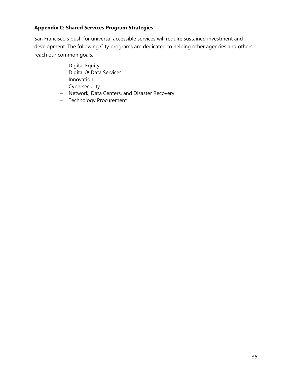# <span id="page-34-0"></span>**Appendix C: Shared Services Program Strategies**

San Francisco's push for universal accessible services will require sustained investment and development. The following City programs are dedicated to helping other agencies and others reach our common goals.

- − Digital Equity
- − Digital & Data Services
- − Innovation
- − Cybersecurity
- − Network, Data Centers, and Disaster Recovery
- − Technology Procurement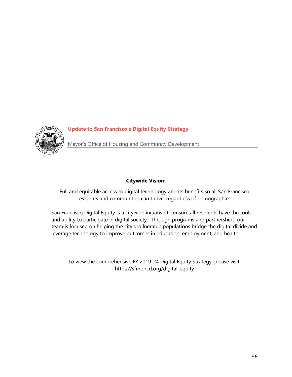

<span id="page-35-0"></span>**Update to San Francisco's Digital Equity Strategy**

Mayor's Office of Housing and Community Development

#### **Citywide Vision:**

Full and equitable access to digital technology and its benefits so all San Francisco residents and communities can thrive, regardless of demographics.

San Francisco Digital Equity is a citywide initiative to ensure all residents have the tools and ability to participate in digital society. Through programs and partnerships, our team is focused on helping the city's vulnerable populations bridge the digital divide and leverage technology to improve outcomes in education, employment, and health.

To view the comprehensive FY 2019-24 Digital Equity Strategy, please visit: https://sfmohcd.org/digital-equity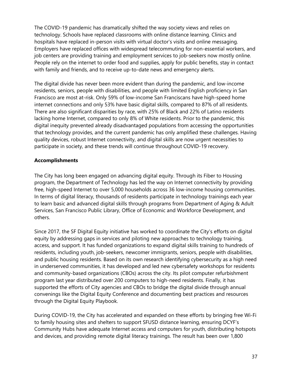The COVID-19 pandemic has dramatically shifted the way society views and relies on technology. Schools have replaced classrooms with online distance learning. Clinics and hospitals have replaced in-person visits with virtual doctor's visits and online messaging. Employers have replaced offices with widespread telecommuting for non-essential workers, and job centers are providing training and employment services to job-seekers now mostly online. People rely on the internet to order food and supplies, apply for public benefits, stay in contact with family and friends, and to receive up-to-date news and emergency alerts.

The digital divide has never been more evident than during the pandemic, and low-income residents, seniors, people with disabilities, and people with limited English proficiency in San Francisco are most at-risk. Only 59% of low-income San Franciscans have high-speed home internet connections and only 53% have basic digital skills, compared to 87% of all residents. There are also significant disparities by race, with 25% of Black and 22% of Latino residents lacking home Internet, compared to only 8% of White residents. Prior to the pandemic, this digital inequity prevented already disadvantaged populations from accessing the opportunities that technology provides, and the current pandemic has only amplified these challenges. Having quality devices, robust Internet connectivity, and digital skills are now urgent necessities to participate in society, and these trends will continue throughout COVID-19 recovery.

## **Accomplishments**

The City has long been engaged on advancing digital equity. Through its Fiber to Housing program, the Department of Technology has led the way on Internet connectivity by providing free, high-speed Internet to over 5,000 households across 36 low-income housing communities. In terms of digital literacy, thousands of residents participate in technology trainings each year to learn basic and advanced digital skills through programs from Department of Aging & Adult Services, San Francisco Public Library, Office of Economic and Workforce Development, and others.

Since 2017, the SF Digital Equity initiative has worked to coordinate the City's efforts on digital equity by addressing gaps in services and piloting new approaches to technology training, access, and support. It has funded organizations to expand digital skills training to hundreds of residents, including youth, job-seekers, newcomer immigrants, seniors, people with disabilities, and public housing residents. Based on its own research identifying cybersecurity as a high need in underserved communities, it has developed and led new cybersafety workshops for residents and community-based organizations (CBOs) across the city. Its pilot computer refurbishment program last year distributed over 200 computers to high-need residents. Finally, it has supported the efforts of City agencies and CBOs to bridge the digital divide through annual convenings like the Digital Equity Conference and documenting best practices and resources through the Digital Equity Playbook.

During COVID-19, the City has accelerated and expanded on these efforts by bringing free Wi-Fi to family housing sites and shelters to support SFUSD distance learning, ensuring DCYF's Community Hubs have adequate Internet access and computers for youth, distributing hotspots and devices, and providing remote digital literacy trainings. The result has been over 1,800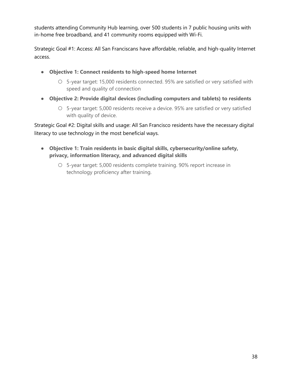students attending Community Hub learning, over 500 students in 7 public housing units with in-home free broadband, and 41 community rooms equipped with Wi-Fi.

Strategic Goal #1: Access: All San Franciscans have affordable, reliable, and high-quality Internet access.

- **Objective 1: Connect residents to high-speed home Internet**
	- 5-year target: 15,000 residents connected. 95% are satisfied or very satisfied with speed and quality of connection
- **Objective 2: Provide digital devices (including computers and tablets) to residents**
	- 5-year target: 5,000 residents receive a device. 95% are satisfied or very satisfied with quality of device.

Strategic Goal #2: Digital skills and usage: All San Francisco residents have the necessary digital literacy to use technology in the most beneficial ways.

- **Objective 1: Train residents in basic digital skills, cybersecurity/online safety, privacy, information literacy, and advanced digital skills**
	- 5-year target: 5,000 residents complete training. 90% report increase in technology proficiency after training.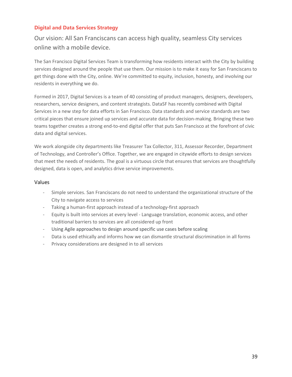#### **Digital and Data Services Strategy**

Our vision: All San Franciscans can access high quality, seamless City services online with a mobile device.

The San Francisco Digital Services Team is transforming how residents interact with the City by building services designed around the people that use them. Our mission is to make it easy for San Franciscans to get things done with the City, online. We're committed to equity, inclusion, honesty, and involving our residents in everything we do.

Formed in 2017, Digital Services is a team of 40 consisting of product managers, designers, developers, researchers, service designers, and content strategists. DataSF has recently combined with Digital Services in a new step for data efforts in San Francisco. Data standards and service standards are two critical pieces that ensure joined up services and accurate data for decision-making. Bringing these two teams together creates a strong end-to-end digital offer that puts San Francisco at the forefront of civic data and digital services.

We work alongside city departments like Treasurer Tax Collector, 311, Assessor Recorder, Department of Technology, and Controller's Office. Together, we are engaged in citywide efforts to design services that meet the needs of residents. The goal is a virtuous circle that ensures that services are thoughtfully designed, data is open, and analytics drive service improvements.

#### Values

- Simple services. San Franciscans do not need to understand the organizational structure of the City to navigate access to services
- Taking a human-first approach instead of a technology-first approach
- Equity is built into services at every level Language translation, economic access, and other traditional barriers to services are all considered up front
- Using Agile approaches to design around specific use cases before scaling
- Data is used ethically and informs how we can dismantle structural discrimination in all forms
- Privacy considerations are designed in to all services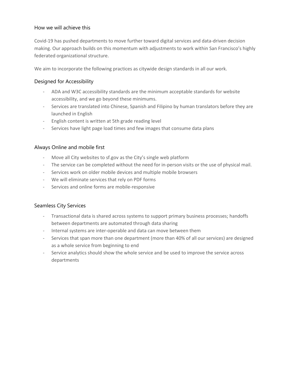#### How we will achieve this

Covid-19 has pushed departments to move further toward digital services and data-driven decision making. Our approach builds on this momentum with adjustments to work within San Francisco's highly federated organizational structure.

We aim to incorporate the following practices as citywide design standards in all our work.

#### Designed for Accessibility

- ADA and W3C accessibility standards are the minimum acceptable standards for website accessibility, and we go beyond these minimums.
- Services are translated into Chinese, Spanish and Filipino by human translators before they are launched in English
- English content is written at 5th grade reading level
- Services have light page load times and few images that consume data plans

#### Always Online and mobile first

- Move all City websites to sf.gov as the City's single web platform
- The service can be completed without the need for in-person visits or the use of physical mail.
- Services work on older mobile devices and multiple mobile browsers
- We will eliminate services that rely on PDF forms
- Services and online forms are mobile-responsive

#### Seamless City Services

- Transactional data is shared across systems to support primary business processes; handoffs between departments are automated through data sharing
- Internal systems are inter-operable and data can move between them
- Services that span more than one department (more than 40% of all our services) are designed as a whole service from beginning to end
- Service analytics should show the whole service and be used to improve the service across departments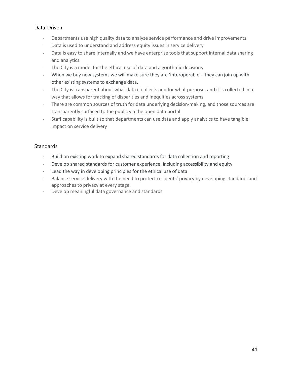#### Data-Driven

- Departments use high quality data to analyze service performance and drive improvements
- Data is used to understand and address equity issues in service delivery
- Data is easy to share internally and we have enterprise tools that support internal data sharing and analytics.
- The City is a model for the ethical use of data and algorithmic decisions
- When we buy new systems we will make sure they are 'interoperable' they can join up with other existing systems to exchange data.
- The City is transparent about what data it collects and for what purpose, and it is collected in a way that allows for tracking of disparities and inequities across systems
- There are common sources of truth for data underlying decision-making, and those sources are transparently surfaced to the public via the open data portal
- Staff capability is built so that departments can use data and apply analytics to have tangible impact on service delivery

#### **Standards**

- Build on existing work to expand shared standards for data collection and reporting
- Develop shared standards for customer experience, including accessibility and equity
- Lead the way in developing principles for the ethical use of data
- Balance service delivery with the need to protect residents' privacy by developing standards and approaches to privacy at every stage.
- Develop meaningful data governance and standards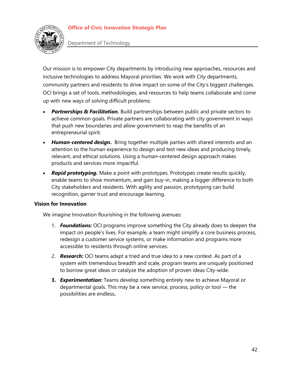## **Office of Civic Innovation Strategic Plan**



Department of Technology

Our mission is to empower City departments by introducing new approaches, resources and inclusive technologies to address Mayoral priorities. We work with City departments, community partners and residents to drive impact on some of the City's biggest challenges. OCI brings a set of tools, methodologies, and resources to help teams collaborate and come up with new ways of solving difficult problems:

- *Partnerships & Facilitation.* Build partnerships between public and private sectors to achieve common goals*.* Private partners are collaborating with city government in ways that push new boundaries and allow government to reap the benefits of an entrepreneurial spirit.
- *Human-centered design***.** Bring together multiple parties with shared interests and an attention to the human experience to design and test new ideas and producing timely, relevant, and ethical solutions. Using a human-centered design approach makes products and services more impactful.
- *Rapid prototyping.* Make a point with prototypes. Prototypes create results quickly, enable teams to show momentum, and gain buy-in, making a bigger difference to both City stakeholders and residents. With agility and passion, prototyping can build recognition, garner trust and encourage learning.

## **Vision for Innovation**

We imagine Innovation flourishing in the following avenues:

- 1. *Foundations:* OCI programs improve something the City already does to deepen the impact on people's lives. For example, a team might simplify a core business process, redesign a customer service systems, or make information and programs more accessible to residents through online services.
- 2. *Research:* OCI teams adapt a tried and true idea to a new context. As part of a system with tremendous breadth and scale, program teams are uniquely positioned to borrow great ideas or catalyze the adoption of proven ideas City-wide.
- **3.** *Experimentation:* Teams develop something entirely new to achieve Mayoral or departmental goals. This may be a new service, process, policy or tool — the possibilities are endless**.**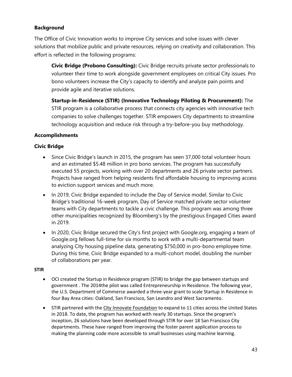## **Background**

The Office of Civic Innovation works to improve City services and solve issues with clever solutions that mobilize public and private resources, relying on creativity and collaboration. This effort is reflected in the following programs:

**Civic Bridge (Probono Consulting):** Civic Bridge recruits private sector professionals to volunteer their time to work alongside government employees on critical City issues. Pro bono volunteers increase the City's capacity to identify and analyze pain points and provide agile and iterative solutions.

**Startup-in-Residence (STIR) (Innovative Technology Piloting & Procurement):** The STIR program is a collaborative process that connects city agencies with innovative tech companies to solve challenges together. STIR empowers City departments to streamline technology acquisition and reduce risk through a try-before-you buy methodology.

## **Accomplishments**

## **Civic Bridge**

- Since Civic Bridge's launch in 2015, the program has seen 37,000 total volunteer hours and an estimated \$5.48 million in pro bono services. The program has successfully executed 55 projects, working with over 20 departments and 26 private sector partners. Projects have ranged from helping residents find affordable housing to improving access to eviction support services and much more.
- In 2019, Civic Bridge expanded to include the Day of Service model. Similar to Civic Bridge's traditional 16-week program, Day of Service matched private sector volunteer teams with City departments to tackle a civic challenge. This program was among three other municipalities recognized by Bloomberg's by the prestigious Engaged Cities award in 2019.
- In 2020, Civic Bridge secured the City's first project with Google.org, engaging a team of Google.org fellows full-time for six months to work with a multi-departmental team analyzing City housing pipeline data, generating \$750,000 in pro-bono employee time. During this time, Civic Bridge expanded to a multi-cohort model, doubling the number of collaborations per year.

#### **STIR**

- OCI created the Startup in Residence program (STIR) to bridge the gap between startups and government . The 2014the pilot was called Entrepreneurship in Residence. The following year, the U.S. Department of Commerce awarded a three-year grant to scale Startup in Residence in four Bay Area cities: Oakland, San Francisco, San Leandro and West Sacramento.
- STIR partnered with the City Innovate [Foundation](http://cityinnovate.org/) to expand to 11 cities across the United States in 2018. To date, the program has worked with nearly 30 startups. Since the program's inception, 26 solutions have been developed through STIR for over 18 San Francisco City departments. These have ranged from improving the foster parent application process to making the planning code more accessible to small businesses using machine learning.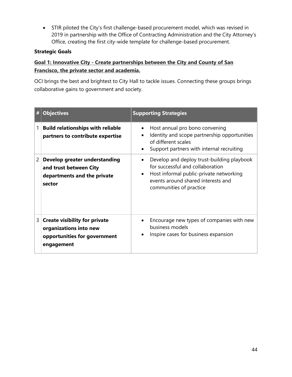• STIR piloted the City's first challenge-based procurement model, which was revised in 2019 in partnership with the Office of Contracting Administration and the City Attorney's Office, creating the first city-wide template for challenge-based procurement.

## **Strategic Goals**

# **Goal 1: Innovative City - Create partnerships between the City and County of San Francisco, the private sector and academia.**

OCI brings the best and brightest to City Hall to tackle issues. Connecting these groups brings collaborative gains to government and society.

| #              | <b>Objectives</b>                                                                                            | <b>Supporting Strategies</b>                                                                                                                                                                    |
|----------------|--------------------------------------------------------------------------------------------------------------|-------------------------------------------------------------------------------------------------------------------------------------------------------------------------------------------------|
| 1              | <b>Build relationships with reliable</b><br>partners to contribute expertise                                 | Host annual pro bono convening<br>Identity and scope partnership opportunities<br>of different scales<br>Support partners with internal recruiting                                              |
| $\overline{c}$ | Develop greater understanding<br>and trust between City<br>departments and the private<br>sector             | Develop and deploy trust-building playbook<br>for successful and collaboration<br>Host informal public-private networking<br>٠<br>events around shared interests and<br>communities of practice |
| 3              | <b>Create visibility for private</b><br>organizations into new<br>opportunities for government<br>engagement | Encourage new types of companies with new<br>business models<br>Inspire cases for business expansion                                                                                            |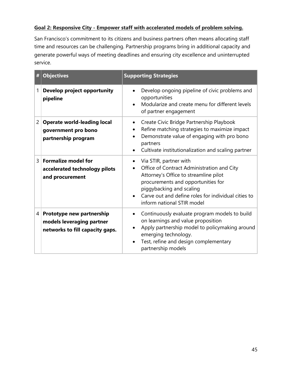## **Goal 2: Responsive City - Empower staff with accelerated models of problem solving.**

San Francisco's commitment to its citizens and business partners often means allocating staff time and resources can be challenging. Partnership programs bring in additional capacity and generate powerful ways of meeting deadlines and ensuring city excellence and uninterrupted service.

| #              | <b>Objectives</b>                                                                         | <b>Supporting Strategies</b>                                                                                                                                                                                                                                              |
|----------------|-------------------------------------------------------------------------------------------|---------------------------------------------------------------------------------------------------------------------------------------------------------------------------------------------------------------------------------------------------------------------------|
| 1              | <b>Develop project opportunity</b><br>pipeline                                            | Develop ongoing pipeline of civic problems and<br>opportunities<br>Modularize and create menu for different levels<br>of partner engagement                                                                                                                               |
| 2              | <b>Operate world-leading local</b><br>government pro bono<br>partnership program          | Create Civic Bridge Partnership Playbook<br>$\bullet$<br>Refine matching strategies to maximize impact<br>Demonstrate value of engaging with pro bono<br>partners<br>Cultivate institutionalization and scaling partner                                                   |
| $\overline{3}$ | <b>Formalize model for</b><br>accelerated technology pilots<br>and procurement            | Via STIR, partner with<br>٠<br>Office of Contract Administration and City<br>Attorney's Office to streamline pilot<br>procurements and opportunities for<br>piggybacking and scaling<br>Carve out and define roles for individual cities to<br>inform national STIR model |
| 4              | Prototype new partnership<br>models leveraging partner<br>networks to fill capacity gaps. | Continuously evaluate program models to build<br>$\bullet$<br>on learnings and value proposition<br>Apply partnership model to policymaking around<br>emerging technology.<br>Test, refine and design complementary<br>partnership models                                 |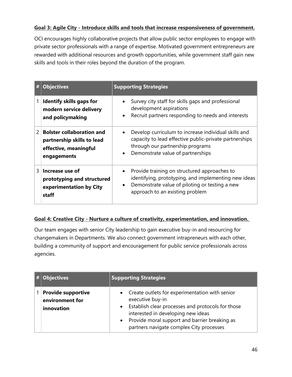## **Goal 3: Agile City - Introduce skills and tools that increase responsiveness of government.**

OCI encourages highly collaborative projects that allow public sector employees to engage with private sector professionals with a range of expertise. Motivated government entrepreneurs are rewarded with additional resources and growth opportunities, while government staff gain new skills and tools in their roles beyond the duration of the program.

| #             | <b>Objectives</b>                                                                                      | <b>Supporting Strategies</b>                                                                                                                                                                           |
|---------------|--------------------------------------------------------------------------------------------------------|--------------------------------------------------------------------------------------------------------------------------------------------------------------------------------------------------------|
| 1             | <b>Identify skills gaps for</b><br>modern service delivery<br>and policymaking                         | Survey city staff for skills gaps and professional<br>development aspirations<br>Recruit partners responding to needs and interests                                                                    |
| $\mathcal{P}$ | <b>Bolster collaboration and</b><br>partnership skills to lead<br>effective, meaningful<br>engagements | Develop curriculum to increase individual skills and<br>capacity to lead effective public-private partnerships<br>through our partnership programs<br>Demonstrate value of partnerships                |
| 3             | Increase use of<br>prototyping and structured<br>experimentation by City<br>staff                      | Provide training on structured approaches to<br>identifying, prototyping, and implementing new ideas<br>Demonstrate value of piloting or testing a new<br>$\bullet$<br>approach to an existing problem |

# **Goal 4: Creative City - Nurture a culture of creativity, experimentation, and innovation.**

Our team engages with senior City leadership to gain executive buy-in and resourcing for changemakers in Departments. We also connect government intrapreneurs with each other, building a community of support and encouragement for public service professionals across agencies.

| <b>Objectives</b>                                          | <b>Supporting Strategies</b>                                                                                                                                                                                                                                     |  |
|------------------------------------------------------------|------------------------------------------------------------------------------------------------------------------------------------------------------------------------------------------------------------------------------------------------------------------|--|
| <b>Provide supportive</b><br>environment for<br>innovation | • Create outlets for experimentation with senior<br>executive buy-in<br>• Establish clear processes and protocols for those<br>interested in developing new ideas<br>• Provide moral support and barrier breaking as<br>partners navigate complex City processes |  |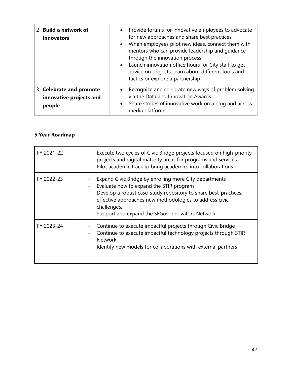| 2 <sup>1</sup> | <b>Build a network of</b><br>innovators                           | • Provide forums for innovative employees to advocate<br>for new approaches and share best practices<br>• When employees pilot new ideas, connect them with<br>mentors who can provide leadership and guidance<br>through the innovation process<br>• Launch innovation office hours for City staff to get<br>advice on projects, learn about different tools and<br>tactics or explore a partnership |
|----------------|-------------------------------------------------------------------|-------------------------------------------------------------------------------------------------------------------------------------------------------------------------------------------------------------------------------------------------------------------------------------------------------------------------------------------------------------------------------------------------------|
| 3 <sup>1</sup> | <b>Celebrate and promote</b><br>innovative projects and<br>people | • Recognize and celebrate new ways of problem solving<br>via the Data and Innovation Awards<br>• Share stories of innovative work on a blog and across<br>media platforms                                                                                                                                                                                                                             |

# **5 Year Roadmap**

| FY 2021-22 | Execute two cycles of Civic Bridge projects focused on high-priority<br>projects and digital maturity areas for programs and services<br>Pilot academic track to bring academics into collaborations<br>$\overline{\phantom{0}}$                                                                  |
|------------|---------------------------------------------------------------------------------------------------------------------------------------------------------------------------------------------------------------------------------------------------------------------------------------------------|
| FY 2022-23 | Expand Civic Bridge by enrolling more City departments<br>Evaluate how to expand the STIR program<br>Develop a robust case-study repository to share best-practices,<br>effective approaches new methodologies to address civic<br>challenges.<br>Support and expand the SFGov Innovators Network |
| FY 2023-24 | Continue to execute impactful projects through Civic Bridge<br>Continue to execute impactful technology projects through STIR<br>$\overline{\phantom{0}}$<br><b>Network</b><br>Identify new models for collaborations with external partners                                                      |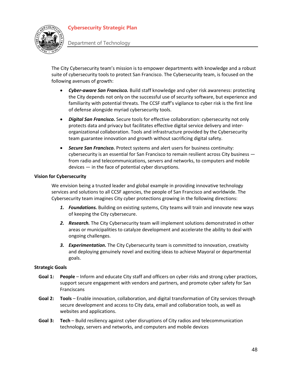## **Cybersecurity Strategic Plan**



Department of Technology

The City Cybersecurity team's mission is to empower departments with knowledge and a robust suite of cybersecurity tools to protect San Francisco. The Cybersecurity team, is focused on the following avenues of growth:

- *Cyber-aware San Francisco.* Build staff knowledge and cyber risk awareness: protecting the City depends not only on the successful use of security software, but experience and familiarity with potential threats. The CCSF staff's vigilance to cyber risk is the first line of defense alongside myriad cybersecurity tools.
- *Digital San Francisco.* Secure tools for effective collaboration: cybersecurity not only protects data and privacy but facilitates effective digital service delivery and interorganizational collaboration. Tools and infrastructure provided by the Cybersecurity team guarantee innovation and growth without sacrificing digital safety.
- *Secure San Francisco.* Protect systems and alert users for business continuity: cybersecurity is an essential for San Francisco to remain resilient across City business from radio and telecommunications, servers and networks, to computers and mobile devices — in the face of potential cyber disruptions.

#### **Vision for Cybersecurity**

We envision being a trusted leader and global example in providing innovative technology services and solutions to all CCSF agencies, the people of San Francisco and worldwide. The Cybersecurity team imagines City cyber protections growing in the following directions:

- *1. Foundations.* Building on existing systems, City teams will train and innovate new ways of keeping the City cybersecure.
- *2. Research.* The City Cybersecurity team will implement solutions demonstrated in other areas or municipalities to catalyze development and accelerate the ability to deal with ongoing challenges.
- *3. Experimentation.* The City Cybersecurity team is committed to innovation, creativity and deploying genuinely novel and exciting ideas to achieve Mayoral or departmental goals.

#### **Strategic Goals**

- **Goal 1: People** Inform and educate City staff and officers on cyber risks and strong cyber practices, support secure engagement with vendors and partners, and promote cyber safety for San **Franciscans**
- **Goal 2: Tools** Enable innovation, collaboration, and digital transformation of City services through secure development and access to City data, email and collaboration tools, as well as websites and applications.
- **Goal 3: Tech** Build resiliency against cyber disruptions of City radios and telecommunication technology, servers and networks, and computers and mobile devices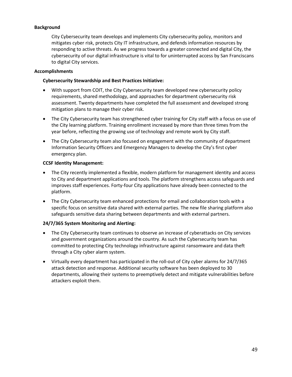#### **Background**

City Cybersecurity team develops and implements City cybersecurity policy, monitors and mitigates cyber risk, protects City IT infrastructure, and defends information resources by responding to active threats. As we progress towards a greater connected and digital City, the cybersecurity of our digital infrastructure is vital to for uninterrupted access by San Franciscans to digital City services.

#### **Accomplishments**

#### **Cybersecurity Stewardship and Best Practices Initiative:**

- With support from COIT, the City Cybersecurity team developed new cybersecurity policy requirements, shared methodology, and approaches for department cybersecurity risk assessment. Twenty departments have completed the full assessment and developed strong mitigation plans to manage their cyber risk.
- The City Cybersecurity team has strengthened cyber training for City staff with a focus on use of the City learning platform. Training enrollment increased by more than three times from the year before, reflecting the growing use of technology and remote work by City staff.
- The City Cybersecurity team also focused on engagement with the community of department Information Security Officers and Emergency Managers to develop the City's first cyber emergency plan.

#### **CCSF Identity Management:**

- The City recently implemented a flexible, modern platform for management identity and access to City and department applications and tools. The platform strengthens access safeguards and improves staff experiences. Forty-four City applications have already been connected to the platform.
- The City Cybersecurity team enhanced protections for email and collaboration tools with a specific focus on sensitive data shared with external parties. The new file sharing platform also safeguards sensitive data sharing between departments and with external partners.

#### **24/7/365 System Monitoring and Alerting:**

- The City Cybersecurity team continues to observe an increase of cyberattacks on City services and government organizations around the country. As such the Cybersecurity team has committed to protecting City technology infrastructure against ransomware and data theft through a City cyber alarm system.
- Virtually every department has participated in the roll-out of City cyber alarms for 24/7/365 attack detection and response. Additional security software has been deployed to 30 departments, allowing their systems to preemptively detect and mitigate vulnerabilities before attackers exploit them.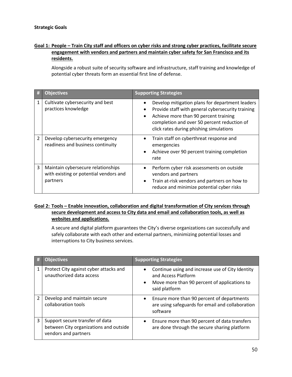#### **Goal 1: People – Train City staff and officers on cyber risks and strong cyber practices, facilitate secure engagement with vendors and partners and maintain cyber safety for San Francisco and its residents.**

Alongside a robust suite of security software and infrastructure, staff training and knowledge of potential cyber threats form an essential first line of defense.

|                | <b>Objectives</b>                                                                        | <b>Supporting Strategies</b>                                                                                                                                                                                                                         |
|----------------|------------------------------------------------------------------------------------------|------------------------------------------------------------------------------------------------------------------------------------------------------------------------------------------------------------------------------------------------------|
|                | Cultivate cybersecurity and best<br>practices knowledge                                  | Develop mitigation plans for department leaders<br>Provide staff with general cybersecurity training<br>$\bullet$<br>Achieve more than 90 percent training<br>completion and over 50 percent reduction of<br>click rates during phishing simulations |
| $\overline{2}$ | Develop cybersecurity emergency<br>readiness and business continuity                     | Train staff on cyberthreat response and<br>emergencies<br>Achieve over 90 percent training completion<br>rate                                                                                                                                        |
| 3              | Maintain cybersecure relationships<br>with existing or potential vendors and<br>partners | Perform cyber risk assessments on outside<br>vendors and partners<br>Train at-risk vendors and partners on how to<br>$\bullet$<br>reduce and minimize potential cyber risks                                                                          |

#### **Goal 2: Tools – Enable innovation, collaboration and digital transformation of City services through secure development and access to City data and email and collaboration tools, as well as websites and applications.**

A secure and digital platform guarantees the City's diverse organizations can successfully and safely collaborate with each other and external partners, minimizing potential losses and interruptions to City business services.

|                | <b>Objectives</b>                                                                                 | <b>Supporting Strategies</b>                                                                                                                          |
|----------------|---------------------------------------------------------------------------------------------------|-------------------------------------------------------------------------------------------------------------------------------------------------------|
| 1              | Protect City against cyber attacks and<br>unauthorized data access                                | Continue using and increase use of City Identity<br>and Access Platform<br>Move more than 90 percent of applications to<br>$\bullet$<br>said platform |
| $\mathfrak{p}$ | Develop and maintain secure<br>collaboration tools                                                | Ensure more than 90 percent of departments<br>$\bullet$<br>are using safeguards for email and collaboration<br>software                               |
| 3              | Support secure transfer of data<br>between City organizations and outside<br>vendors and partners | Ensure more than 90 percent of data transfers<br>$\bullet$<br>are done through the secure sharing platform                                            |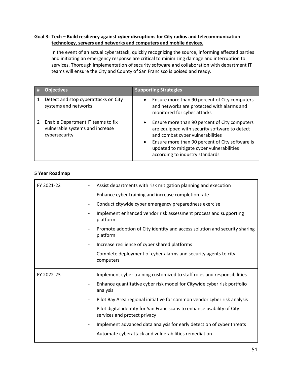#### **Goal 3: Tech – Build resiliency against cyber disruptions for City radios and telecommunication technology, servers and networks and computers and mobile devices.**

In the event of an actual cyberattack, quickly recognizing the source, informing affected parties and initiating an emergency response are critical to minimizing damage and interruption to services. Thorough implementation of security software and collaboration with department IT teams will ensure the City and County of San Francisco is poised and ready.

| <b>Objectives</b>                                                                     | <b>Supporting Strategies</b>                                                                                                                                                                                                                                                                    |
|---------------------------------------------------------------------------------------|-------------------------------------------------------------------------------------------------------------------------------------------------------------------------------------------------------------------------------------------------------------------------------------------------|
| Detect and stop cyberattacks on City<br>systems and networks                          | Ensure more than 90 percent of City computers<br>$\bullet$<br>and networks are protected with alarms and<br>monitored for cyber attacks                                                                                                                                                         |
| Enable Department IT teams to fix<br>vulnerable systems and increase<br>cybersecurity | Ensure more than 90 percent of City computers<br>$\bullet$<br>are equipped with security software to detect<br>and combat cyber vulnerabilities<br>Ensure more than 90 percent of City software is<br>$\bullet$<br>updated to mitigate cyber vulnerabilities<br>according to industry standards |

#### **5 Year Roadmap**

| FY 2021-22 | Assist departments with risk mitigation planning and execution                                                  |
|------------|-----------------------------------------------------------------------------------------------------------------|
|            | Enhance cyber training and increase completion rate<br>$\overline{\phantom{a}}$                                 |
|            | Conduct citywide cyber emergency preparedness exercise<br>$\overline{\phantom{a}}$                              |
|            | Implement enhanced vendor risk assessment process and supporting<br>platform                                    |
|            | Promote adoption of City identity and access solution and security sharing<br>platform                          |
|            | Increase resilience of cyber shared platforms                                                                   |
|            | Complete deployment of cyber alarms and security agents to city<br>computers                                    |
| FY 2022-23 | Implement cyber training customized to staff roles and responsibilities                                         |
|            | Enhance quantitative cyber risk model for Citywide cyber risk portfolio<br>$\overline{\phantom{a}}$<br>analysis |
|            | Pilot Bay Area regional initiative for common vendor cyber risk analysis                                        |
|            | Pilot digital identity for San Franciscans to enhance usability of City<br>services and protect privacy         |
|            | Implement advanced data analysis for early detection of cyber threats                                           |
|            | Automate cyberattack and vulnerabilities remediation                                                            |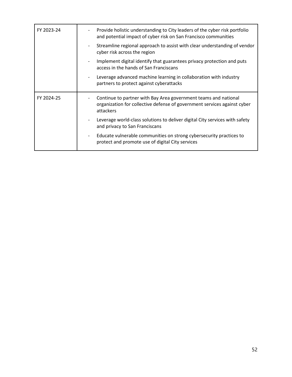| FY 2023-24 | Provide holistic understanding to City leaders of the cyber risk portfolio                                                                               |
|------------|----------------------------------------------------------------------------------------------------------------------------------------------------------|
|            | and potential impact of cyber risk on San Francisco communities                                                                                          |
|            | Streamline regional approach to assist with clear understanding of vendor<br>$\overline{\phantom{a}}$<br>cyber risk across the region                    |
|            | Implement digital identify that guarantees privacy protection and puts<br>$\overline{\phantom{a}}$<br>access in the hands of San Franciscans             |
|            | Leverage advanced machine learning in collaboration with industry<br>partners to protect against cyberattacks                                            |
| FY 2024-25 | Continue to partner with Bay Area government teams and national<br>organization for collective defense of government services against cyber<br>attackers |
|            | Leverage world-class solutions to deliver digital City services with safety<br>and privacy to San Franciscans                                            |
|            | Educate vulnerable communities on strong cybersecurity practices to<br>-<br>protect and promote use of digital City services                             |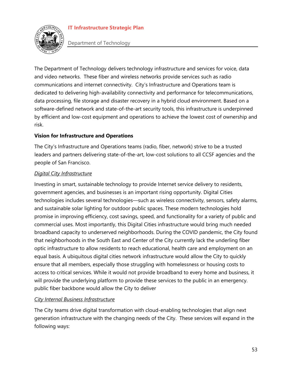## **IT Infrastructure Strategic Plan**



Department of Technology

The Department of Technology delivers technology infrastructure and services for voice, data and video networks. These fiber and wireless networks provide services such as radio communications and internet connectivity. City's Infrastructure and Operations team is dedicated to delivering high-availability connectivity and performance for telecommunications, data processing, file storage and disaster recovery in a hybrid cloud environment. Based on a software-defined network and state-of-the-art security tools, this infrastructure is underpinned by efficient and low-cost equipment and operations to achieve the lowest cost of ownership and risk.

#### **Vision for Infrastructure and Operations**

The City's Infrastructure and Operations teams (radio, fiber, network) strive to be a trusted leaders and partners delivering state-of-the-art, low-cost solutions to all CCSF agencies and the people of San Francisco.

#### *Digital City Infrastructure*

Investing in smart, sustainable technology to provide Internet service delivery to residents, government agencies, and businesses is an important rising opportunity. Digital Cities technologies includes several technologies—such as wireless connectivity, sensors, safety alarms, and sustainable solar lighting for outdoor public spaces. These modern technologies hold promise in improving efficiency, cost savings, speed, and functionality for a variety of public and commercial uses. Most importantly, this Digital Cities infrastructure would bring much needed broadband capacity to underserved neighborhoods. During the COVID pandemic, the City found that neighborhoods in the South East and Center of the City currently lack the underling fiber optic infrastructure to allow residents to reach educational, health care and employment on an equal basis. A ubiquitous digital cities network infrastructure would allow the City to quickly ensure that all members, especially those struggling with homelessness or housing costs to access to critical services. While it would not provide broadband to every home and business, it will provide the underlying platform to provide these services to the public in an emergency. public fiber backbone would allow the City to deliver

## *City Internal Business Infrastructure*

The City teams drive digital transformation with cloud-enabling technologies that align next generation infrastructure with the changing needs of the City. These services will expand in the following ways: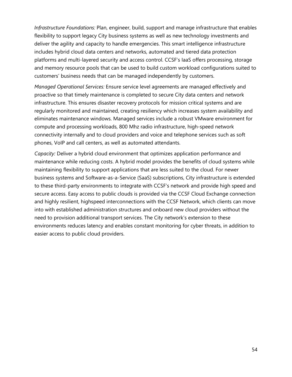*Infrastructure Foundations:* Plan, engineer, build, support and manage infrastructure that enables flexibility to support legacy City business systems as well as new technology investments and deliver the agility and capacity to handle emergencies. This smart intelligence infrastructure includes hybrid cloud data centers and networks, automated and tiered data protection platforms and multi-layered security and access control. CCSF's IaaS offers processing, storage and memory resource pools that can be used to build custom workload configurations suited to customers' business needs that can be managed independently by customers.

*Managed Operational Services:* Ensure service level agreements are managed effectively and proactive so that timely maintenance is completed to secure City data centers and network infrastructure. This ensures disaster recovery protocols for mission critical systems and are regularly monitored and maintained, creating resiliency which increases system availability and eliminates maintenance windows. Managed services include a robust VMware environment for compute and processing workloads, 800 Mhz radio infrastructure, high-speed network connectivity internally and to cloud providers and voice and telephone services such as soft phones, VoIP and call centers, as well as automated attendants.

*Capacity:* Deliver a hybrid cloud environment that optimizes application performance and maintenance while reducing costs. A hybrid model provides the benefits of cloud systems while maintaining flexibility to support applications that are less suited to the cloud. For newer business systems and Software-as-a-Service (SaaS) subscriptions, City infrastructure is extended to these third-party environments to integrate with CCSF's network and provide high speed and secure access. Easy access to public clouds is provided via the CCSF Cloud Exchange connection and highly resilient, highspeed interconnections with the CCSF Network, which clients can move into with established administration structures and onboard new cloud providers without the need to provision additional transport services. The City network's extension to these environments reduces latency and enables constant monitoring for cyber threats, in addition to easier access to public cloud providers.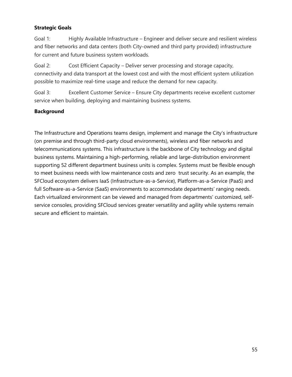## **Strategic Goals**

Goal 1: Highly Available Infrastructure – Engineer and deliver secure and resilient wireless and fiber networks and data centers (both City-owned and third party provided) infrastructure for current and future business system workloads.

Goal 2: Cost Efficient Capacity – Deliver server processing and storage capacity, connectivity and data transport at the lowest cost and with the most efficient system utilization possible to maximize real-time usage and reduce the demand for new capacity.

Goal 3: Excellent Customer Service – Ensure City departments receive excellent customer service when building, deploying and maintaining business systems.

#### **Background**

The Infrastructure and Operations teams design, implement and manage the City's infrastructure (on premise and through third-party cloud environments), wireless and fiber networks and telecommunications systems. This infrastructure is the backbone of City technology and digital business systems. Maintaining a high-performing, reliable and large-distribution environment supporting 52 different department business units is complex. Systems must be flexible enough to meet business needs with low maintenance costs and zero trust security. As an example, the SFCloud ecosystem delivers IaaS (Infrastructure-as-a-Service), Platform-as-a-Service (PaaS) and full Software-as-a-Service (SaaS) environments to accommodate departments' ranging needs. Each virtualized environment can be viewed and managed from departments' customized, selfservice consoles, providing SFCloud services greater versatility and agility while systems remain secure and efficient to maintain.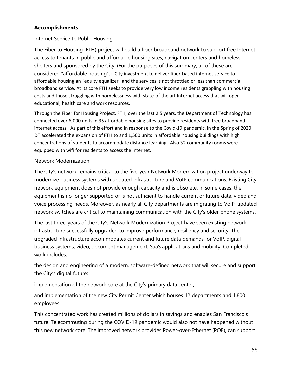## **Accomplishments**

Internet Service to Public Housing

The Fiber to Housing (FTH) project will build a fiber broadband network to support free Internet access to tenants in public and affordable housing sites, navigation centers and homeless shelters and sponsored by the City. (For the purposes of this summary, all of these are considered "affordable housing".) City investment to deliver fiber-based internet service to affordable housing an "equity equalizer" and the services is not throttled or less than commercial broadband service. At its core FTH seeks to provide very low income residents grappling with housing costs and those struggling with homelessness with state-of-the art Internet access that will open educational, health care and work resources.

Through the Fiber for Housing Project, FTH, over the last 2.5 years, the Department of Technology has connected over 6,000 units in 35 affordable housing sites to provide residents with free broadband internet access. As part of this effort and in response to the Covid-19 pandemic, in the Spring of 2020, DT accelerated the expansion of FTH to and 1,500 units in affordable housing buildings with high concentrations of students to accommodate distance learning. Also 32 community rooms were equipped with wifi for residents to access the Internet.

#### Network Modernization:

The City's network remains critical to the five-year Network Modernization project underway to modernize business systems with updated infrastructure and VoIP communications. Existing City network equipment does not provide enough capacity and is obsolete. In some cases, the equipment is no longer supported or is not sufficient to handle current or future data, video and voice processing needs. Moreover, as nearly all City departments are migrating to VoIP, updated network switches are critical to maintaining communication with the City's older phone systems.

The last three-years of the City's Network Modernization Project have seen existing network infrastructure successfully upgraded to improve performance, resiliency and security. The upgraded infrastructure accommodates current and future data demands for VoIP, digital business systems, video, document management, SaaS applications and mobility. Completed work includes:

the design and engineering of a modern, software-defined network that will secure and support the City's digital future;

implementation of the network core at the City's primary data center;

and implementation of the new City Permit Center which houses 12 departments and 1,800 employees.

This concentrated work has created millions of dollars in savings and enables San Francisco's future. Telecommuting during the COVID-19 pandemic would also not have happened without this new network core. The improved network provides Power-over-Ethernet (POE), can support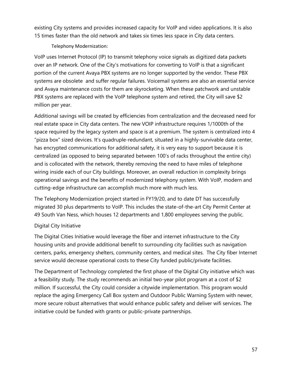existing City systems and provides increased capacity for VoIP and video applications. It is also 15 times faster than the old network and takes six times less space in City data centers.

#### Telephony Modernization:

VoIP uses Internet Protocol (IP) to transmit telephony voice signals as digitized data packets over an IP network. One of the City's motivations for converting to VoIP is that a significant portion of the current Avaya PBX systems are no longer supported by the vendor. These PBX systems are obsolete and suffer regular failures. Voicemail systems are also an essential service and Avaya maintenance costs for them are skyrocketing. When these patchwork and unstable PBX systems are replaced with the VoIP telephone system and retired, the City will save \$2 million per year.

Additional savings will be created by efficiencies from centralization and the decreased need for real estate space in City data centers. The new VOIP infrastructure requires 1/1000th of the space required by the legacy system and space is at a premium. The system is centralized into 4 "pizza box" sized devices. It's quadruple-redundant, situated in a highly-survivable data center, has encrypted communications for additional safety, it is very easy to support because it is centralized (as opposed to being separated between 100's of racks throughout the entire city) and is collocated with the network, thereby removing the need to have miles of telephone wiring inside each of our City buildings. Moreover, an overall reduction in complexity brings operational savings and the benefits of modernized telephony system. With VoIP, modern and cutting-edge infrastructure can accomplish much more with much less.

The Telephony Modernization project started in FY19/20, and to date DT has successfully migrated 30 plus departments to VoIP. This includes the state-of-the-art City Permit Center at 49 South Van Ness, which houses 12 departments and 1,800 employees serving the public.

## Digital City Initiative

The Digital Cities Initiative would leverage the fiber and internet infrastructure to the City housing units and provide additional benefit to surrounding city facilities such as navigation centers, parks, emergency shelters, community centers, and medical sites. The City fiber Internet service would decrease operational costs to these City funded public/private facilities.

The Department of Technology completed the first phase of the Digital City initiative which was a feasibility study. The study recommends an initial two-year pilot program at a cost of \$2 million. If successful, the City could consider a citywide implementation. This program would replace the aging Emergency Call Box system and Outdoor Public Warning System with newer, more secure robust alternatives that would enhance public safety and deliver wifi services. The initiative could be funded with grants or public-private partnerships.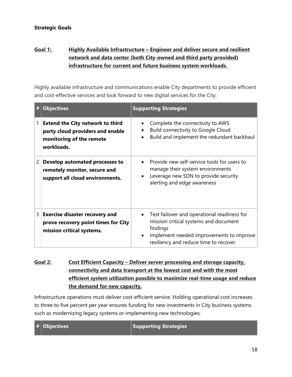# **Strategic Goals**

# **Goal 1: Highly Available Infrastructure – Engineer and deliver secure and resilient network and data center (both City-owned and third party provided) infrastructure for current and future business system workloads.**

Highly available infrastructure and communications enable City departments to provide efficient and cost-effective services and look forward to new digital services for the City.

| #              | <b>Objectives</b>                                                                                                     | <b>Supporting Strategies</b>                                                                                                                                                           |
|----------------|-----------------------------------------------------------------------------------------------------------------------|----------------------------------------------------------------------------------------------------------------------------------------------------------------------------------------|
|                | <b>Extend the City network to third</b><br>party cloud providers and enable<br>monitoring of the remote<br>workloads. | Complete the connectivity to AWS<br>Build connectivity to Google Cloud<br>Build and implement the redundant backhaul                                                                   |
| $\overline{2}$ | Develop automated processes to<br>remotely monitor, secure and<br>support all cloud environments.                     | Provide new self-service tools for users to<br>manage their system environments<br>Leverage new SDN to provide security<br>alerting and edge awareness                                 |
| 3              | <b>Exercise disaster recovery and</b><br>prove recovery point times for City<br>mission critical systems.             | Test failover and operational readiness for<br>mission critical systems and document<br>findings<br>Implement needed improvements to improve<br>resiliency and reduce time to recover. |

**Goal 2: Cost Efficient Capacity – Deliver server processing and storage capacity, connectivity and data transport at the lowest cost and with the most efficient system utilization possible to maximize real-time usage and reduce the demand for new capacity.**

Infrastructure operations must deliver cost-efficient service. Holding operational cost increases to three to five percent per year ensures funding for new investments in City business systems such as modernizing legacy systems or implementing new technologies.

| #   Objectives | $\mid$ $\mid$ Supporting Strategies $\mid$ |
|----------------|--------------------------------------------|
|----------------|--------------------------------------------|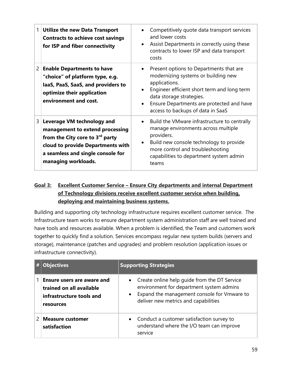|                | <b>Utilize the new Data Transport</b><br><b>Contracts to achieve cost savings</b><br>for ISP and fiber connectivity                                                                               | Competitively quote data transport services<br>and lower costs<br>Assist Departments in correctly using these<br>$\bullet$<br>contracts to lower ISP and data transport<br>costs                                                                                          |
|----------------|---------------------------------------------------------------------------------------------------------------------------------------------------------------------------------------------------|---------------------------------------------------------------------------------------------------------------------------------------------------------------------------------------------------------------------------------------------------------------------------|
| $\overline{c}$ | <b>Enable Departments to have</b><br>"choice" of platform type, e.g.<br>laaS, PaaS, SaaS, and providers to<br>optimize their application<br>environment and cost.                                 | Present options to Departments that are<br>$\bullet$<br>modernizing systems or building new<br>applications.<br>Engineer efficient short term and long term<br>data storage strategies.<br>Ensure Departments are protected and have<br>access to backups of data in SaaS |
| 3              | Leverage VM technology and<br>management to extend processing<br>from the City core to 3rd party<br>cloud to provide Departments with<br>a seamless and single console for<br>managing workloads. | Build the VMware infrastructure to centrally<br>$\bullet$<br>manage environments across multiple<br>providers.<br>Build new console technology to provide<br>more control and troubleshooting<br>capabilities to department system admin<br>teams                         |

# **Goal 3: Excellent Customer Service – Ensure City departments and internal Department of Technology divisions receive excellent customer service when building, deploying and maintaining business systems.**

Building and supporting city technology infrastructure requires excellent customer service. The Infrastructure team works to ensure department system administration staff are well trained and have tools and resources available. When a problem is identified, the Team and customers work together to quickly find a solution. Services encompass regular new system builds (servers and storage), maintenance (patches and upgrades) and problem resolution (application issues or infrastructure connectivity).

| <b>Objectives</b>                                                                                      | <b>Supporting Strategies</b>                                                                                                                                                                 |  |
|--------------------------------------------------------------------------------------------------------|----------------------------------------------------------------------------------------------------------------------------------------------------------------------------------------------|--|
| <b>Ensure users are aware and</b><br>trained on all available<br>infrastructure tools and<br>resources | Create online help quide from the DT Service<br>environment for department system admins<br>Expand the management console for Vmware to<br>$\bullet$<br>deliver new metrics and capabilities |  |
| <b>Measure customer</b><br>satisfaction                                                                | Conduct a customer satisfaction survey to<br>$\bullet$<br>understand where the I/O team can improve<br>service                                                                               |  |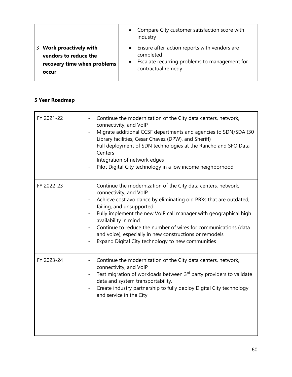|                                                                                               |           | Compare City customer satisfaction score with<br>industry                                                                        |
|-----------------------------------------------------------------------------------------------|-----------|----------------------------------------------------------------------------------------------------------------------------------|
| <b>Work proactively with</b><br>vendors to reduce the<br>recovery time when problems<br>occur | $\bullet$ | Ensure after-action reports with vendors are<br>completed<br>Escalate recurring problems to management for<br>contractual remedy |

# **5 Year Roadmap**

| FY 2021-22 | Continue the modernization of the City data centers, network,<br>connectivity, and VoIP<br>Migrate additional CCSF departments and agencies to SDN/SDA (30<br>Library facilities, Cesar Chavez (DPW), and Sheriff)<br>Full deployment of SDN technologies at the Rancho and SFO Data<br>Centers<br>Integration of network edges<br>Pilot Digital City technology in a low income neighborhood                                                                             |
|------------|---------------------------------------------------------------------------------------------------------------------------------------------------------------------------------------------------------------------------------------------------------------------------------------------------------------------------------------------------------------------------------------------------------------------------------------------------------------------------|
| FY 2022-23 | Continue the modernization of the City data centers, network,<br>connectivity, and VoIP<br>Achieve cost avoidance by eliminating old PBXs that are outdated,<br>failing, and unsupported.<br>Fully implement the new VoIP call manager with geographical high<br>availability in mind.<br>Continue to reduce the number of wires for communications (data<br>and voice), especially in new constructions or remodels<br>Expand Digital City technology to new communities |
| FY 2023-24 | Continue the modernization of the City data centers, network,<br>$\qquad \qquad -$<br>connectivity, and VoIP<br>Test migration of workloads between 3rd party providers to validate<br>data and system transportability.<br>Create industry partnership to fully deploy Digital City technology<br>$\overline{\phantom{a}}$<br>and service in the City                                                                                                                    |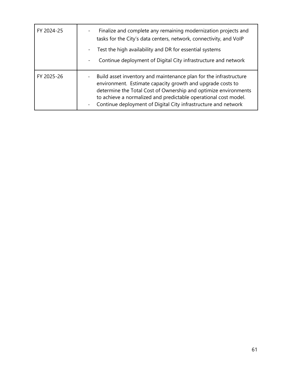| FY 2024-25 | Finalize and complete any remaining modernization projects and<br>$\overline{\phantom{a}}$<br>tasks for the City's data centers, network, connectivity, and VoIP<br>Test the high availability and DR for essential systems<br>Continue deployment of Digital City infrastructure and network                                           |
|------------|-----------------------------------------------------------------------------------------------------------------------------------------------------------------------------------------------------------------------------------------------------------------------------------------------------------------------------------------|
| FY 2025-26 | Build asset inventory and maintenance plan for the infrastructure<br>environment. Estimate capacity growth and upgrade costs to<br>determine the Total Cost of Ownership and optimize environments<br>to achieve a normalized and predictable operational cost model.<br>Continue deployment of Digital City infrastructure and network |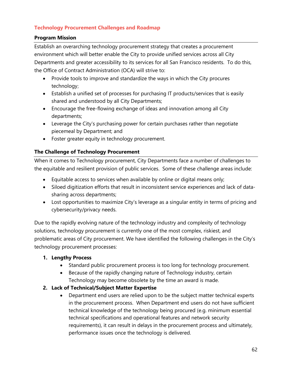## **Technology Procurement Challenges and Roadmap**

### **Program Mission**

Establish an overarching technology procurement strategy that creates a procurement environment which will better enable the City to provide unified services across all City Departments and greater accessibility to its services for all San Francisco residents. To do this, the Office of Contract Administration (OCA) will strive to:

- Provide tools to improve and standardize the ways in which the City procures technology;
- Establish a unified set of processes for purchasing IT products/services that is easily shared and understood by all City Departments;
- Encourage the free-flowing exchange of ideas and innovation among all City departments;
- Leverage the City's purchasing power for certain purchases rather than negotiate piecemeal by Department; and
- Foster greater equity in technology procurement.

## **The Challenge of Technology Procurement**

When it comes to Technology procurement, City Departments face a number of challenges to the equitable and resilient provision of public services. Some of these challenge areas include:

- Equitable access to services when available by online or digital means only;
- Siloed digitization efforts that result in inconsistent service experiences and lack of datasharing across departments;
- Lost opportunities to maximize City's leverage as a singular entity in terms of pricing and cybersecurity/privacy needs.

Due to the rapidly evolving nature of the technology industry and complexity of technology solutions, technology procurement is currently one of the most complex, riskiest, and problematic areas of City procurement. We have identified the following challenges in the City's technology procurement processes:

## **1. Lengthy Process**

- Standard public procurement process is too long for technology procurement.
- Because of the rapidly changing nature of Technology industry, certain Technology may become obsolete by the time an award is made.

## **2. Lack of Technical/Subject Matter Expertise**

• Department end users are relied upon to be the subject matter technical experts in the procurement process. When Department end users do not have sufficient technical knowledge of the technology being procured (e.g. minimum essential technical specifications and operational features and network security requirements), it can result in delays in the procurement process and ultimately, performance issues once the technology is delivered.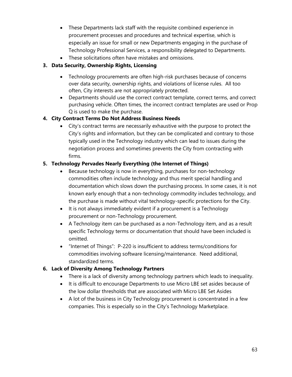- These Departments lack staff with the requisite combined experience in procurement processes and procedures and technical expertise, which is especially an issue for small or new Departments engaging in the purchase of Technology Professional Services, a responsibility delegated to Departments.
- These solicitations often have mistakes and omissions.

## **3. Data Security, Ownership Rights, Licensing**

- Technology procurements are often high-risk purchases because of concerns over data security, ownership rights, and violations of license rules. All too often, City interests are not appropriately protected.
- Departments should use the correct contract template, correct terms, and correct purchasing vehicle. Often times, the incorrect contract templates are used or Prop Q is used to make the purchase.

## **4. City Contract Terms Do Not Address Business Needs**

• City's contract terms are necessarily exhaustive with the purpose to protect the City's rights and information, but they can be complicated and contrary to those typically used in the Technology industry which can lead to issues during the negotiation process and sometimes prevents the City from contracting with firms.

## **5. Technology Pervades Nearly Everything (the Internet of Things)**

- Because technology is now in everything, purchases for non-technology commodities often include technology and thus merit special handling and documentation which slows down the purchasing process. In some cases, it is not known early enough that a non-technology commodity includes technology, and the purchase is made without vital technology-specific protections for the City.
- It is not always immediately evident if a procurement is a Technology procurement or non-Technology procurement.
- A Technology item can be purchased as a non-Technology item, and as a result specific Technology terms or documentation that should have been included is omitted.
- "Internet of Things": P-220 is insufficient to address terms/conditions for commodities involving software licensing/maintenance. Need additional, standardized terms.

## **6. Lack of Diversity Among Technology Partners**

- There is a lack of diversity among technology partners which leads to inequality.
- It is difficult to encourage Departments to use Micro LBE set asides because of the low dollar thresholds that are associated with Micro LBE Set Asides
- A lot of the business in City Technology procurement is concentrated in a few companies. This is especially so in the City's Technology Marketplace.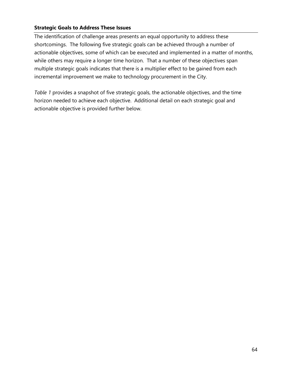## **Strategic Goals to Address These Issues**

The identification of challenge areas presents an equal opportunity to address these shortcomings. The following five strategic goals can be achieved through a number of actionable objectives, some of which can be executed and implemented in a matter of months, while others may require a longer time horizon. That a number of these objectives span multiple strategic goals indicates that there is a multiplier effect to be gained from each incremental improvement we make to technology procurement in the City.

*Table 1* provides a snapshot of five strategic goals, the actionable objectives, and the time horizon needed to achieve each objective. Additional detail on each strategic goal and actionable objective is provided further below.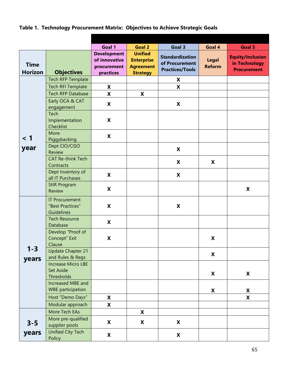# **Table 1. Technology Procurement Matrix: Objectives to Achieve Strategic Goals**

|                               |                                                         | Goal 1                                                          | <b>Goal 2</b>                                                              | Goal 3                                                             | Goal 4                        | Goal 5                                                         |
|-------------------------------|---------------------------------------------------------|-----------------------------------------------------------------|----------------------------------------------------------------------------|--------------------------------------------------------------------|-------------------------------|----------------------------------------------------------------|
| <b>Time</b><br><b>Horizon</b> | <b>Objectives</b>                                       | <b>Development</b><br>of innovative<br>procurement<br>practices | <b>Unified</b><br><b>Enterprise</b><br><b>Agreement</b><br><b>Strategy</b> | <b>Standardization</b><br>of Procurement<br><b>Practices/Tools</b> | <b>Legal</b><br><b>Reform</b> | <b>Equity/Inclusion</b><br>in Technology<br><b>Procurement</b> |
|                               | <b>Tech RFP Template</b>                                |                                                                 |                                                                            | X                                                                  |                               |                                                                |
|                               | Tech RFI Template                                       | X                                                               |                                                                            | X                                                                  |                               |                                                                |
|                               | <b>Tech RFP Database</b>                                | X                                                               | X                                                                          |                                                                    |                               |                                                                |
|                               | Early OCA & CAT<br>engagement                           | X                                                               |                                                                            | X                                                                  |                               |                                                                |
|                               | Tech<br>Implementation<br>Checklist                     | X                                                               |                                                                            |                                                                    |                               |                                                                |
| $\leq 1$                      | More<br>Piggybacking                                    | X                                                               |                                                                            |                                                                    |                               |                                                                |
| year                          | Dept CIO/CISO<br><b>Review</b>                          |                                                                 |                                                                            | X                                                                  |                               |                                                                |
|                               | <b>CAT Re-think Tech</b><br>Contracts                   |                                                                 |                                                                            | X                                                                  | X                             |                                                                |
|                               | Dept Inventory of<br>all IT Purchases                   | X                                                               |                                                                            | X                                                                  |                               |                                                                |
|                               | <b>StIR Program</b><br><b>Review</b>                    | X                                                               |                                                                            |                                                                    |                               | X                                                              |
|                               | <b>IT Procurement</b><br>"Best Practices"<br>Guidelines | X                                                               |                                                                            | X                                                                  |                               |                                                                |
|                               | <b>Tech Resource</b><br>Database                        | X                                                               |                                                                            |                                                                    |                               |                                                                |
| $1 - 3$                       | Develop "Proof of<br>Concept" Exit<br>Clause            | X                                                               |                                                                            |                                                                    | X                             |                                                                |
| years                         | Update Chapter 21<br>and Rules & Regs                   |                                                                 |                                                                            |                                                                    | X                             |                                                                |
|                               | <b>Increase Micro LBE</b><br>Set Aside<br>Thresholds    |                                                                 |                                                                            |                                                                    | X                             | X                                                              |
|                               | Increased MBE and<br><b>WBE</b> participation           |                                                                 |                                                                            |                                                                    | X                             | X                                                              |
|                               | Host "Demo Days"                                        | X                                                               |                                                                            |                                                                    |                               | $\boldsymbol{\mathsf{X}}$                                      |
|                               | Modular approach                                        | X                                                               |                                                                            |                                                                    |                               |                                                                |
|                               | More Tech EAs                                           |                                                                 | X                                                                          |                                                                    |                               |                                                                |
| $3 - 5$                       | More pre-qualified<br>supplier pools                    | X                                                               | X                                                                          | X                                                                  |                               |                                                                |
| years                         | Unified City Tech<br>Policy                             | X                                                               |                                                                            | X                                                                  |                               |                                                                |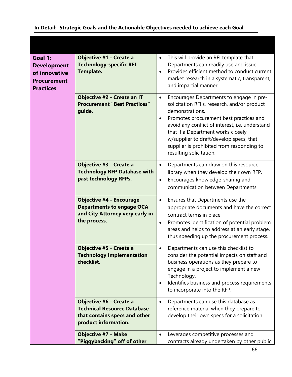# **In Detail: Strategic Goals and the Actionable Objectives needed to achieve each Goal**

| Goal 1:<br><b>Development</b><br>of innovative<br><b>Procurement</b><br><b>Practices</b> | <b>Objective #1 - Create a</b><br><b>Technology-specific RFI</b><br><b>Template.</b>                                   | This will provide an RFI template that<br>$\bullet$<br>Departments can readily use and issue.<br>Provides efficient method to conduct current<br>$\bullet$<br>market research in a systematic, transparent,<br>and impartial manner.                                                                                                                                                         |
|------------------------------------------------------------------------------------------|------------------------------------------------------------------------------------------------------------------------|----------------------------------------------------------------------------------------------------------------------------------------------------------------------------------------------------------------------------------------------------------------------------------------------------------------------------------------------------------------------------------------------|
|                                                                                          | Objective #2 - Create an IT<br><b>Procurement "Best Practices"</b><br>guide.                                           | Encourages Departments to engage in pre-<br>$\bullet$<br>solicitation RFI's, research, and/or product<br>demonstrations.<br>Promotes procurement best practices and<br>$\bullet$<br>avoid any conflict of interest, i.e. understand<br>that if a Department works closely<br>w/supplier to draft/develop specs, that<br>supplier is prohibited from responding to<br>resulting solicitation. |
|                                                                                          | <b>Objective #3 - Create a</b><br><b>Technology RFP Database with</b><br>past technology RFPs.                         | Departments can draw on this resource<br>$\bullet$<br>library when they develop their own RFP.<br>Encourages knowledge-sharing and<br>$\bullet$<br>communication between Departments.                                                                                                                                                                                                        |
|                                                                                          | <b>Objective #4 - Encourage</b><br><b>Departments to engage OCA</b><br>and City Attorney very early in<br>the process. | Ensures that Departments use the<br>$\bullet$<br>appropriate documents and have the correct<br>contract terms in place.<br>Promotes identification of potential problem<br>$\bullet$<br>areas and helps to address at an early stage,<br>thus speeding up the procurement process.                                                                                                           |
|                                                                                          | Objective #5 - Create a<br><b>Technology Implementation</b><br>checklist.                                              | Departments can use this checklist to<br>$\bullet$<br>consider the potential impacts on staff and<br>business operations as they prepare to<br>engage in a project to implement a new<br>Technology.<br>Identifies business and process requirements<br>$\bullet$<br>to incorporate into the RFP.                                                                                            |
|                                                                                          | Objective #6 - Create a<br><b>Technical Resource Database</b><br>that contains specs and other<br>product information. | Departments can use this database as<br>$\bullet$<br>reference material when they prepare to<br>develop their own specs for a solicitation.                                                                                                                                                                                                                                                  |
|                                                                                          | <b>Objective #7 - Make</b><br>"Piggybacking" off of other                                                              | Leverages competitive processes and<br>$\bullet$<br>contracts already undertaken by other public                                                                                                                                                                                                                                                                                             |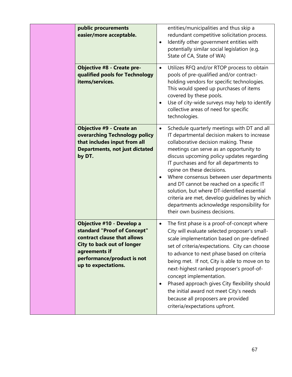| public procurements<br>easier/more acceptable.                                                                                                                                                     | entities/municipalities and thus skip a<br>redundant competitive solicitation process.<br>Identify other government entities with<br>$\bullet$<br>potentially similar social legislation (e.g.<br>State of CA, State of WA)                                                                                                                                                                                                                                                                                                                                                |
|----------------------------------------------------------------------------------------------------------------------------------------------------------------------------------------------------|----------------------------------------------------------------------------------------------------------------------------------------------------------------------------------------------------------------------------------------------------------------------------------------------------------------------------------------------------------------------------------------------------------------------------------------------------------------------------------------------------------------------------------------------------------------------------|
| <b>Objective #8 - Create pre-</b><br>qualified pools for Technology<br>items/services.                                                                                                             | Utilizes RFQ and/or RTOP process to obtain<br>$\bullet$<br>pools of pre-qualified and/or contract-<br>holding vendors for specific technologies.<br>This would speed up purchases of items<br>covered by these pools.<br>Use of city-wide surveys may help to identify<br>$\bullet$<br>collective areas of need for specific<br>technologies.                                                                                                                                                                                                                              |
| <b>Objective #9 - Create an</b><br>overarching Technology policy<br>that includes input from all<br><b>Departments, not just dictated</b><br>by DT.                                                | Schedule quarterly meetings with DT and all<br>IT departmental decision makers to increase<br>collaborative decision making. These<br>meetings can serve as an opportunity to<br>discuss upcoming policy updates regarding<br>IT purchases and for all departments to<br>opine on these decisions.<br>Where consensus between user departments<br>and DT cannot be reached on a specific IT<br>solution, but where DT-identified essential<br>criteria are met, develop guidelines by which<br>departments acknowledge responsibility for<br>their own business decisions. |
| Objective #10 - Develop a<br>standard "Proof of Concept"<br>contract clause that allows<br><b>City to back out of longer</b><br>agreements if<br>performance/product is not<br>up to expectations. | The first phase is a proof-of-concept where<br>$\bullet$<br>City will evaluate selected proposer's small-<br>scale implementation based on pre-defined<br>set of criteria/expectations. City can choose<br>to advance to next phase based on criteria<br>being met. If not, City is able to move on to<br>next-highest ranked proposer's proof-of-<br>concept implementation.<br>Phased approach gives City flexibility should<br>the initial award not meet City's needs<br>because all proposers are provided<br>criteria/expectations upfront.                          |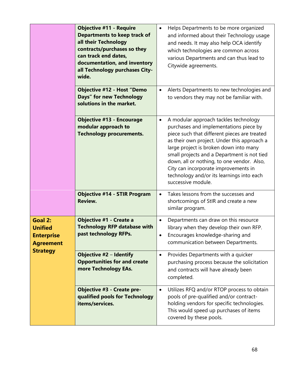|                                                                    | <b>Objective #11 - Require</b><br>Departments to keep track of<br>all their Technology<br>contracts/purchases so they<br>can track end dates,<br>documentation, and inventory<br>all Technology purchases City-<br>wide.<br><b>Objective #12 - Host "Demo</b> | Helps Departments to be more organized<br>$\bullet$<br>and informed about their Technology usage<br>and needs. It may also help OCA identify<br>which technologies are common across<br>various Departments and can thus lead to<br>Citywide agreements.<br>Alerts Departments to new technologies and<br>$\bullet$                                                                                                                           |
|--------------------------------------------------------------------|---------------------------------------------------------------------------------------------------------------------------------------------------------------------------------------------------------------------------------------------------------------|-----------------------------------------------------------------------------------------------------------------------------------------------------------------------------------------------------------------------------------------------------------------------------------------------------------------------------------------------------------------------------------------------------------------------------------------------|
|                                                                    | Days" for new Technology<br>solutions in the market.                                                                                                                                                                                                          | to vendors they may not be familiar with.                                                                                                                                                                                                                                                                                                                                                                                                     |
|                                                                    | <b>Objective #13 - Encourage</b><br>modular approach to<br><b>Technology procurements.</b>                                                                                                                                                                    | A modular approach tackles technology<br>$\bullet$<br>purchases and implementations piece by<br>piece such that different pieces are treated<br>as their own project. Under this approach a<br>large project is broken down into many<br>small projects and a Department is not tied<br>down, all or nothing, to one vendor. Also,<br>City can incorporate improvements in<br>technology and/or its learnings into each<br>successive module. |
|                                                                    | <b>Objective #14 - STIR Program</b><br><b>Review.</b>                                                                                                                                                                                                         | Takes lessons from the successes and<br>$\bullet$<br>shortcomings of StlR and create a new<br>similar program.                                                                                                                                                                                                                                                                                                                                |
| Goal 2:<br><b>Unified</b><br><b>Enterprise</b><br><b>Agreement</b> | <b>Objective #1 - Create a</b><br><b>Technology RFP database with</b><br>past technology RFPs.                                                                                                                                                                | Departments can draw on this resource<br>$\bullet$<br>library when they develop their own RFP.<br>Encourages knowledge-sharing and<br>$\bullet$<br>communication between Departments.                                                                                                                                                                                                                                                         |
| <b>Strategy</b>                                                    | Objective #2 - Identify<br><b>Opportunities for and create</b><br>more Technology EAs.                                                                                                                                                                        | Provides Departments with a quicker<br>$\bullet$<br>purchasing process because the solicitation<br>and contracts will have already been<br>completed.                                                                                                                                                                                                                                                                                         |
|                                                                    | <b>Objective #3 - Create pre-</b><br>qualified pools for Technology<br>items/services.                                                                                                                                                                        | Utilizes RFQ and/or RTOP process to obtain<br>$\bullet$<br>pools of pre-qualified and/or contract-<br>holding vendors for specific technologies.<br>This would speed up purchases of items<br>covered by these pools.                                                                                                                                                                                                                         |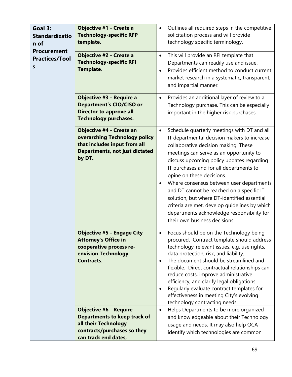| Goal 3:<br><b>Standardizatio</b><br>n of<br><b>Procurement</b><br><b>Practices/Tool</b><br>S | <b>Objective #1 - Create a</b><br><b>Technology-specific RFP</b><br>template.<br><b>Objective #2 - Create a</b><br><b>Technology-specific RFI</b><br>Template. | Outlines all required steps in the competitive<br>$\bullet$<br>solicitation process and will provide<br>technology specific terminology.<br>This will provide an RFI template that<br>$\bullet$<br>Departments can readily use and issue.<br>Provides efficient method to conduct current<br>$\bullet$<br>market research in a systematic, transparent,<br>and impartial manner.                                                                                                                                                                                                                     |
|----------------------------------------------------------------------------------------------|----------------------------------------------------------------------------------------------------------------------------------------------------------------|------------------------------------------------------------------------------------------------------------------------------------------------------------------------------------------------------------------------------------------------------------------------------------------------------------------------------------------------------------------------------------------------------------------------------------------------------------------------------------------------------------------------------------------------------------------------------------------------------|
|                                                                                              | Objective #3 - Require a<br><b>Department's CIO/CISO or</b><br><b>Director to approve all</b><br><b>Technology purchases.</b>                                  | Provides an additional layer of review to a<br>$\bullet$<br>Technology purchase. This can be especially<br>important in the higher risk purchases.                                                                                                                                                                                                                                                                                                                                                                                                                                                   |
|                                                                                              | <b>Objective #4 - Create an</b><br>overarching Technology policy<br>that includes input from all<br><b>Departments, not just dictated</b><br>by DT.            | Schedule quarterly meetings with DT and all<br>$\bullet$<br>IT departmental decision makers to increase<br>collaborative decision making. These<br>meetings can serve as an opportunity to<br>discuss upcoming policy updates regarding<br>IT purchases and for all departments to<br>opine on these decisions.<br>Where consensus between user departments<br>$\bullet$<br>and DT cannot be reached on a specific IT<br>solution, but where DT-identified essential<br>criteria are met, develop guidelines by which<br>departments acknowledge responsibility for<br>their own business decisions. |
|                                                                                              | <b>Objective #5 - Engage City</b><br><b>Attorney's Office in</b><br>cooperative process re-<br>envision Technology<br><b>Contracts.</b>                        | Focus should be on the Technology being<br>$\bullet$<br>procured. Contract template should address<br>technology-relevant issues, e.g. use rights,<br>data protection, risk, and liability.<br>The document should be streamlined and<br>$\bullet$<br>flexible. Direct contractual relationships can<br>reduce costs, improve administrative<br>efficiency, and clarify legal obligations.<br>Regularly evaluate contract templates for<br>$\bullet$<br>effectiveness in meeting City's evolving<br>technology contracting needs.                                                                    |
|                                                                                              | <b>Objective #6 - Require</b><br>Departments to keep track of<br>all their Technology<br>contracts/purchases so they<br>can track end dates,                   | Helps Departments to be more organized<br>$\bullet$<br>and knowledgeable about their Technology<br>usage and needs. It may also help OCA<br>identify which technologies are common                                                                                                                                                                                                                                                                                                                                                                                                                   |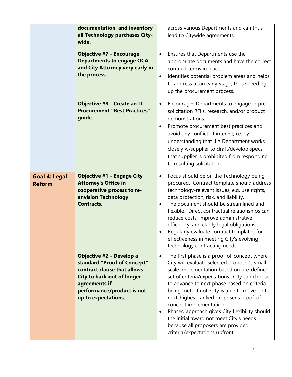|                                       | documentation, and inventory<br>all Technology purchases City-<br>wide.<br><b>Objective #7 - Encourage</b><br><b>Departments to engage OCA</b><br>and City Attorney very early in<br>the process. | across various Departments and can thus<br>lead to Citywide agreements.<br>Ensures that Departments use the<br>$\bullet$<br>appropriate documents and have the correct<br>contract terms in place.<br>Identifies potential problem areas and helps<br>$\bullet$<br>to address at an early stage, thus speeding<br>up the procurement process.                                                                                                                                                                                                     |
|---------------------------------------|---------------------------------------------------------------------------------------------------------------------------------------------------------------------------------------------------|---------------------------------------------------------------------------------------------------------------------------------------------------------------------------------------------------------------------------------------------------------------------------------------------------------------------------------------------------------------------------------------------------------------------------------------------------------------------------------------------------------------------------------------------------|
|                                       | Objective #8 - Create an IT<br><b>Procurement "Best Practices"</b><br>guide.                                                                                                                      | Encourages Departments to engage in pre-<br>$\bullet$<br>solicitation RFI's, research, and/or product<br>demonstrations.<br>Promote procurement best practices and<br>avoid any conflict of interest, i.e. by<br>understanding that if a Department works<br>closely w/supplier to draft/develop specs,<br>that supplier is prohibited from responding<br>to resulting solicitation.                                                                                                                                                              |
| <b>Goal 4: Legal</b><br><b>Reform</b> | <b>Objective #1 - Engage City</b><br><b>Attorney's Office in</b><br>cooperative process to re-<br>envision Technology<br><b>Contracts.</b>                                                        | Focus should be on the Technology being<br>$\bullet$<br>procured. Contract template should address<br>technology-relevant issues, e.g. use rights,<br>data protection, risk, and liability.<br>The document should be streamlined and<br>$\bullet$<br>flexible. Direct contractual relationships can<br>reduce costs, improve administrative<br>efficiency, and clarify legal obligations.<br>Regularly evaluate contract templates for<br>effectiveness in meeting City's evolving<br>technology contracting needs.                              |
|                                       | Objective #2 - Develop a<br>standard "Proof of Concept"<br>contract clause that allows<br><b>City to back out of longer</b><br>agreements if<br>performance/product is not<br>up to expectations. | The first phase is a proof-of-concept where<br>$\bullet$<br>City will evaluate selected proposer's small-<br>scale implementation based on pre-defined<br>set of criteria/expectations. City can choose<br>to advance to next phase based on criteria<br>being met. If not, City is able to move on to<br>next-highest ranked proposer's proof-of-<br>concept implementation.<br>Phased approach gives City flexibility should<br>the initial award not meet City's needs<br>because all proposers are provided<br>criteria/expectations upfront. |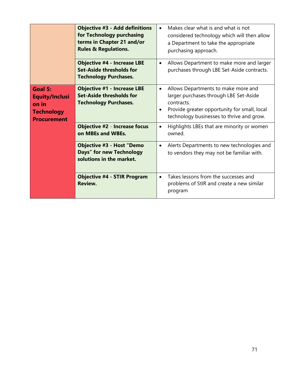|                                                                                      | <b>Objective #3 - Add definitions</b><br>for Technology purchasing<br>terms in Chapter 21 and/or<br><b>Rules &amp; Regulations.</b> | Makes clear what is and what is not<br>considered technology which will then allow<br>a Department to take the appropriate<br>purchasing approach.                                                                 |
|--------------------------------------------------------------------------------------|-------------------------------------------------------------------------------------------------------------------------------------|--------------------------------------------------------------------------------------------------------------------------------------------------------------------------------------------------------------------|
|                                                                                      | <b>Objective #4 - Increase LBE</b><br>Set-Aside thresholds for<br><b>Technology Purchases.</b>                                      | Allows Department to make more and larger<br>$\bullet$<br>purchases through LBE Set-Aside contracts.                                                                                                               |
| Goal 5:<br><b>Equity/Inclusi</b><br>on in<br><b>Technology</b><br><b>Procurement</b> | <b>Objective #1 - Increase LBE</b><br>Set-Aside thresholds for<br><b>Technology Purchases.</b>                                      | Allows Departments to make more and<br>$\bullet$<br>larger purchases through LBE Set-Aside<br>contracts.<br>Provide greater opportunity for small, local<br>$\bullet$<br>technology businesses to thrive and grow. |
|                                                                                      | <b>Objective #2 - Increase focus</b><br>on MBEs and WBEs.                                                                           | Highlights LBEs that are minority or women<br>$\bullet$<br>owned.                                                                                                                                                  |
|                                                                                      | <b>Objective #3 - Host "Demo</b><br><b>Days" for new Technology</b><br>solutions in the market.                                     | Alerts Departments to new technologies and<br>$\bullet$<br>to vendors they may not be familiar with.                                                                                                               |
|                                                                                      | <b>Objective #4 - STIR Program</b><br><b>Review.</b>                                                                                | Takes lessons from the successes and<br>$\bullet$<br>problems of StIR and create a new similar<br>program                                                                                                          |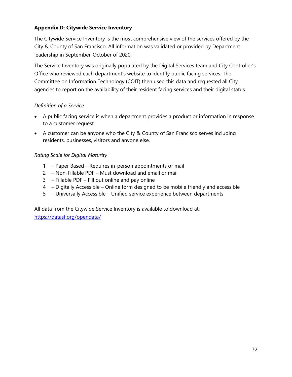## **Appendix D: Citywide Service Inventory**

The Citywide Service Inventory is the most comprehensive view of the services offered by the City & County of San Francisco. All information was validated or provided by Department leadership in September-October of 2020.

The Service Inventory was originally populated by the Digital Services team and City Controller's Office who reviewed each department's website to identify public facing services. The Committee on Information Technology (COIT) then used this data and requested all City agencies to report on the availability of their resident facing services and their digital status.

## *Definition of a Service*

- A public facing service is when a department provides a product or information in response to a customer request.
- A customer can be anyone who the City & County of San Francisco serves including residents, businesses, visitors and anyone else.

## *Rating Scale for Digital Maturity*

- 1 Paper Based Requires in-person appointments or mail
- 2 Non-Fillable PDF Must download and email or mail
- 3 Fillable PDF Fill out online and pay online
- 4 Digitally Accessible Online form designed to be mobile friendly and accessible
- 5 Universally Accessible Unified service experience between departments

All data from the Citywide Service Inventory is available to download at:

<https://datasf.org/opendata/>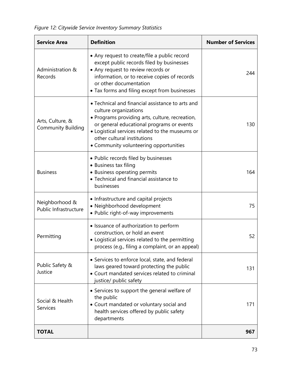*Figure 12: Citywide Service Inventory Summary Statistics* 

| <b>Service Area</b>                           | <b>Definition</b>                                                                                                                                                                                                                                                                                     | <b>Number of Services</b> |
|-----------------------------------------------|-------------------------------------------------------------------------------------------------------------------------------------------------------------------------------------------------------------------------------------------------------------------------------------------------------|---------------------------|
| Administration &<br>Records                   | • Any request to create/file a public record<br>except public records filed by businesses<br>• Any request to review records or<br>information, or to receive copies of records<br>or other documentation<br>• Tax forms and filing except from businesses                                            | 244                       |
| Arts, Culture, &<br><b>Community Building</b> | • Technical and financial assistance to arts and<br>culture organizations<br>• Programs providing arts, culture, recreation,<br>or general educational programs or events<br>• Logistical services related to the museums or<br>other cultural institutions<br>• Community volunteering opportunities | 130                       |
| <b>Business</b>                               | • Public records filed by businesses<br>• Business tax filing<br>• Business operating permits<br>• Technical and financial assistance to<br>businesses                                                                                                                                                | 164                       |
| Neighborhood &<br>Public Infrastructure       | • Infrastructure and capital projects<br>· Neighborhood development<br>• Public right-of-way improvements                                                                                                                                                                                             | 75                        |
| Permitting                                    | • Issuance of authorization to perform<br>construction, or hold an event<br>• Logistical services related to the permitting<br>process (e.g., filing a complaint, or an appeal)                                                                                                                       | 52                        |
| Public Safety &<br>Justice                    | • Services to enforce local, state, and federal<br>laws geared toward protecting the public<br>• Court mandated services related to criminal<br>justice/ public safety                                                                                                                                |                           |
| Social & Health<br><b>Services</b>            | • Services to support the general welfare of<br>the public<br>• Court mandated or voluntary social and<br>health services offered by public safety<br>departments                                                                                                                                     | 171                       |
| <b>TOTAL</b>                                  |                                                                                                                                                                                                                                                                                                       | 967                       |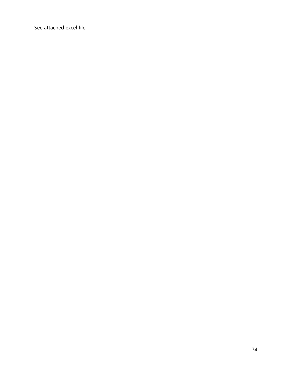See attached excel file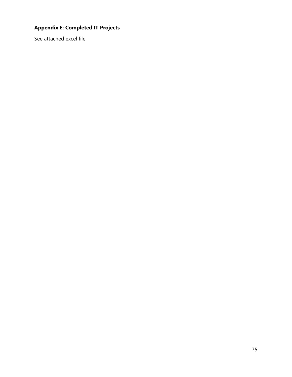# **Appendix E: Completed IT Projects**

See attached excel file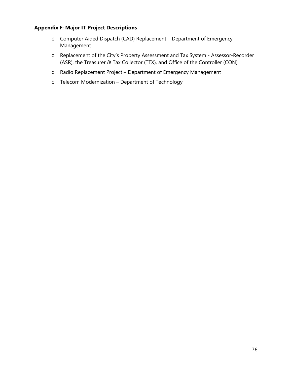# **Appendix F: Major IT Project Descriptions**

- o Computer Aided Dispatch (CAD) Replacement Department of Emergency Management
- o Replacement of the City's Property Assessment and Tax System Assessor-Recorder (ASR), the Treasurer & Tax Collector (TTX), and Office of the Controller (CON)
- o Radio Replacement Project Department of Emergency Management
- o Telecom Modernization Department of Technology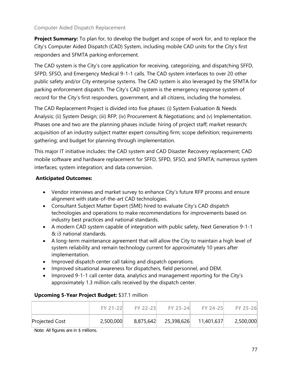## Computer Aided Dispatch Replacement

**Project Summary:** To plan for, to develop the budget and scope of work for, and to replace the City's Computer Aided Dispatch (CAD) System, including mobile CAD units for the City's first responders and SFMTA parking enforcement.

The CAD system is the City's core application for receiving, categorizing, and dispatching SFFD, SFPD, SFSO, and Emergency Medical 9-1-1 calls. The CAD system interfaces to over 20 other public safety and/or City enterprise systems. The CAD system is also leveraged by the SFMTA for parking enforcement dispatch. The City's CAD system is the emergency response system of record for the City's first responders, government, and all citizens, including the homeless.

The CAD Replacement Project is divided into five phases: (i) System Evaluation & Needs Analysis; (ii) System Design; (iii) RFP; (iv) Procurement & Negotiations; and (v) Implementation. Phases one and two are the planning phases include: hiring of project staff; market research; acquisition of an industry subject matter expert consulting firm; scope definition; requirements gathering; and budget for planning through implementation.

This major IT initiative includes: the CAD system and CAD Disaster Recovery replacement; CAD mobile software and hardware replacement for SFFD, SFPD, SFSO, and SFMTA; numerous system interfaces; system integration; and data conversion.

# **Anticipated Outcomes:**

- Vendor interviews and market survey to enhance City's future RFP process and ensure alignment with state-of-the-art CAD technologies.
- Consultant Subject Matter Expert (SME) hired to evaluate City's CAD dispatch technologies and operations to make recommendations for improvements based on industry best practices and national standards.
- A modern CAD system capable of integration with public safety, Next Generation 9-1-1 & i3 national standards.
- A long-term maintenance agreement that will allow the City to maintain a high level of system reliability and remain technology current for approximately 10 years after implementation.
- Improved dispatch center call taking and dispatch operations.
- Improved situational awareness for dispatchers, field personnel, and DEM.
- Improved 9-1-1 call center data, analytics and management reporting for the City's approximately 1.3 million calls received by the dispatch center.

#### **Upcoming 5-Year Project Budget:** \$37.1 million

|                | <b>FY 21-22</b> | <b>FY 22-23</b> | <b>FY 23-24</b> | <b>FY 24-25</b> | <b>FY 25-26</b> |
|----------------|-----------------|-----------------|-----------------|-----------------|-----------------|
| Projected Cost | 2,500,000       | 8,875,642       | 25,398,626      | 11,401,637      | 2,500,000       |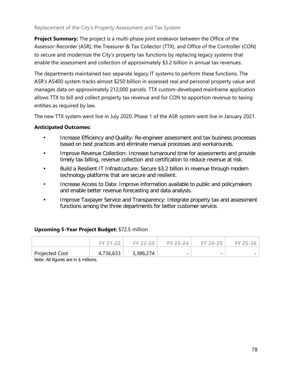## Replacement of the City's Property Assessment and Tax System

**Project Summary:** The project is a multi-phase joint endeavor between the Office of the Assessor-Recorder (ASR), the Treasurer & Tax Collector (TTX), and Office of the Controller (CON) to secure and modernize the City's property tax functions by replacing legacy systems that enable the assessment and collection of approximately \$3.2 billion in annual tax revenues.

The departments maintained two separate legacy IT systems to perform these functions. The ASR's AS400 system tracks almost \$250 billion in assessed real and personal property value and manages data on approximately 212,000 parcels. TTX custom-developed mainframe application allows TTX to bill and collect property tax revenue and for CON to apportion revenue to taxing entities as required by law.

The new TTX system went live in July 2020. Phase 1 of the ASR system went live in January 2021.

### **Anticipated Outcomes:**

- Increase Efficiency and Quality: Re-engineer assessment and tax business processes based on best practices and eliminate manual processes and workarounds.
- Improve Revenue Collection: Increase turnaround time for assessments and provide timely tax billing, revenue collection and certification to reduce revenue at risk.
- Build a Resilient IT Infrastructure: Secure \$3.2 billion in revenue through modern technology platforms that are secure and resilient.
- Increase Access to Data: Improve information available to public and policymakers and enable better revenue forecasting and data analysis.
- Improve Taxpayer Service and Transparency: Integrate property tax and assessment functions among the three departments for better customer service.

#### **Upcoming 5-Year Project Budget:** \$72.5 million

|                | $FY 21-22$ |           | $\mathsf{FY}$ 22-23 $\mathsf{FY}$ 23-24 $\mathsf{I}$ |                          | <b>FY 24-25 FY 25-26</b> |
|----------------|------------|-----------|------------------------------------------------------|--------------------------|--------------------------|
| Projected Cost | 4,736,633  | 3,386,274 | $\overline{\phantom{0}}$                             | $\overline{\phantom{0}}$ |                          |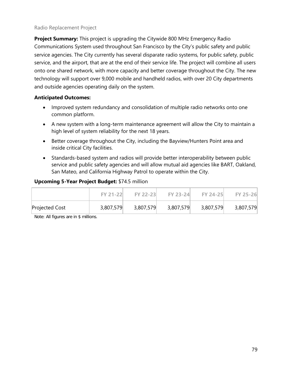#### Radio Replacement Project

**Project Summary:** This project is upgrading the Citywide 800 MHz Emergency Radio Communications System used throughout San Francisco by the City's public safety and public service agencies. The City currently has several disparate radio systems, for public safety, public service, and the airport, that are at the end of their service life. The project will combine all users onto one shared network, with more capacity and better coverage throughout the City. The new technology will support over 9,000 mobile and handheld radios, with over 20 City departments and outside agencies operating daily on the system.

# **Anticipated Outcomes:**

- Improved system redundancy and consolidation of multiple radio networks onto one common platform.
- A new system with a long-term maintenance agreement will allow the City to maintain a high level of system reliability for the next 18 years.
- Better coverage throughout the City, including the Bayview/Hunters Point area and inside critical City facilities.
- Standards-based system and radios will provide better interoperability between public service and public safety agencies and will allow mutual aid agencies like BART, Oakland, San Mateo, and California Highway Patrol to operate within the City.

# **Upcoming 5-Year Project Budget:** \$74.5 million

|                | <b>FY 21-22</b> | <b>FY 22-23</b> | <b>FY 23-24</b> | <b>FY 24-25</b> | <b>FY 25-26</b> |
|----------------|-----------------|-----------------|-----------------|-----------------|-----------------|
| Projected Cost | 3,807,579       | 3,807,579       | 3,807,579       | 3,807,579       | 3,807,579       |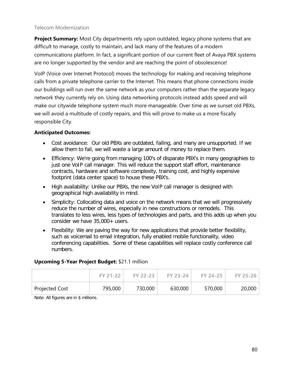#### Telecom Modernization

**Project Summary:** Most City departments rely upon outdated, legacy phone systems that are difficult to manage, costly to maintain, and lack many of the features of a modern communications platform. In fact, a significant portion of our current fleet of Avaya PBX systems are no longer supported by the vendor and are reaching the point of obsolescence!

VoIP (Voice over Internet Protocol) moves the technology for making and receiving telephone calls from a private telephone carrier to the Internet. This means that phone connections inside our buildings will run over the same network as your computers rather than the separate legacy network they currently rely on. Using data networking protocols instead adds speed and will make our citywide telephone system much more manageable. Over time as we sunset old PBXs, we will avoid a multitude of costly repairs, and this will prove to make us a more fiscally responsible City.

### **Anticipated Outcomes:**

- Cost avoidance: Our old PBXs are outdated, failing, and many are unsupported. If we allow them to fail, we will waste a large amount of money to replace them.
- Efficiency: We're going from managing 100's of disparate PBX's in many geographies to just one VoIP call manager. This will reduce the support staff effort, maintenance contracts, hardware and software complexity, training cost, and highly expensive footprint (data center space) to house these PBX's.
- High availability: Unlike our PBXs, the new VoIP call manager is designed with geographical high availability in mind.
- Simplicity: Collocating data and voice on the network means that we will progressively reduce the number of wires, especially in new constructions or remodels. This translates to less wires, less types of technologies and parts, and this adds up when you consider we have 35,000+ users.
- Flexibility: We are paving the way for new applications that provide better flexibility, such as voicemail to email integration, fully enabled mobile functionality, video conferencing capabilities. Some of these capabilities will replace costly conference call numbers.

#### **Upcoming 5-Year Project Budget:** \$21.1 million

|                | FY 21-22 | FY 22-23 | <b>FY 23-24</b> | FY 24-25 | FY 25-26 |
|----------------|----------|----------|-----------------|----------|----------|
| Projected Cost | 795,000  | 730,000  | 630,000         | 570,000  | 20,000   |